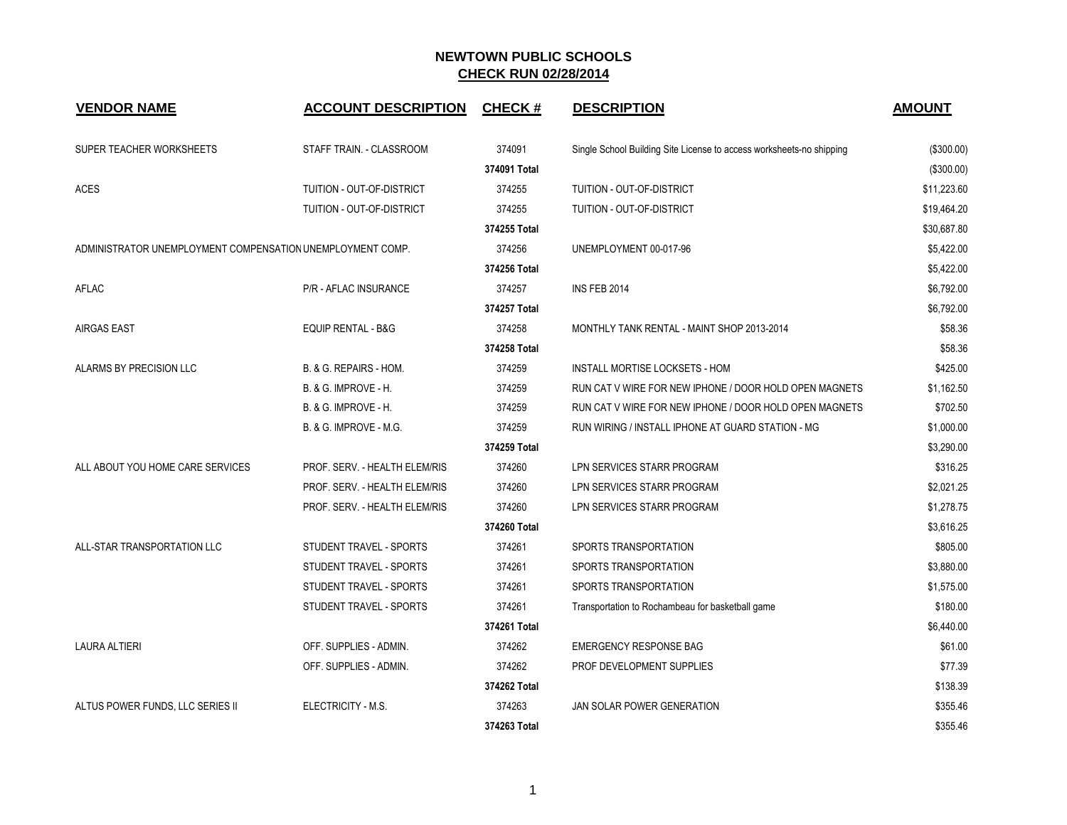| <b>VENDOR NAME</b>                                         | <b>ACCOUNT DESCRIPTION</b>      | <b>CHECK#</b> | <b>DESCRIPTION</b>                                                   | <b>AMOUNT</b> |
|------------------------------------------------------------|---------------------------------|---------------|----------------------------------------------------------------------|---------------|
| SUPER TEACHER WORKSHEETS                                   | STAFF TRAIN. - CLASSROOM        | 374091        | Single School Building Site License to access worksheets-no shipping | (\$300.00)    |
|                                                            |                                 | 374091 Total  |                                                                      | (\$300.00)    |
| <b>ACES</b>                                                | TUITION - OUT-OF-DISTRICT       | 374255        | TUITION - OUT-OF-DISTRICT                                            | \$11,223.60   |
|                                                            | TUITION - OUT-OF-DISTRICT       | 374255        | TUITION - OUT-OF-DISTRICT                                            | \$19,464.20   |
|                                                            |                                 | 374255 Total  |                                                                      | \$30,687.80   |
| ADMINISTRATOR UNEMPLOYMENT COMPENSATION UNEMPLOYMENT COMP. |                                 | 374256        | UNEMPLOYMENT 00-017-96                                               | \$5,422.00    |
|                                                            |                                 | 374256 Total  |                                                                      | \$5,422.00    |
| <b>AFLAC</b>                                               | P/R - AFLAC INSURANCE           | 374257        | <b>INS FEB 2014</b>                                                  | \$6,792.00    |
|                                                            |                                 | 374257 Total  |                                                                      | \$6,792.00    |
| <b>AIRGAS EAST</b>                                         | <b>EQUIP RENTAL - B&amp;G</b>   | 374258        | MONTHLY TANK RENTAL - MAINT SHOP 2013-2014                           | \$58.36       |
|                                                            |                                 | 374258 Total  |                                                                      | \$58.36       |
| ALARMS BY PRECISION LLC                                    | B. & G. REPAIRS - HOM.          | 374259        | INSTALL MORTISE LOCKSETS - HOM                                       | \$425.00      |
|                                                            | <b>B. &amp; G. IMPROVE - H.</b> | 374259        | RUN CAT V WIRE FOR NEW IPHONE / DOOR HOLD OPEN MAGNETS               | \$1,162.50    |
|                                                            | B. & G. IMPROVE - H.            | 374259        | RUN CAT V WIRE FOR NEW IPHONE / DOOR HOLD OPEN MAGNETS               | \$702.50      |
|                                                            | B. & G. IMPROVE - M.G.          | 374259        | RUN WIRING / INSTALL IPHONE AT GUARD STATION - MG                    | \$1,000.00    |
|                                                            |                                 | 374259 Total  |                                                                      | \$3,290.00    |
| ALL ABOUT YOU HOME CARE SERVICES                           | PROF. SERV. - HEALTH ELEM/RIS   | 374260        | LPN SERVICES STARR PROGRAM                                           | \$316.25      |
|                                                            | PROF. SERV. - HEALTH ELEM/RIS   | 374260        | LPN SERVICES STARR PROGRAM                                           | \$2,021.25    |
|                                                            | PROF. SERV. - HEALTH ELEM/RIS   | 374260        | LPN SERVICES STARR PROGRAM                                           | \$1,278.75    |
|                                                            |                                 | 374260 Total  |                                                                      | \$3,616.25    |
| ALL-STAR TRANSPORTATION LLC                                | STUDENT TRAVEL - SPORTS         | 374261        | SPORTS TRANSPORTATION                                                | \$805.00      |
|                                                            | STUDENT TRAVEL - SPORTS         | 374261        | SPORTS TRANSPORTATION                                                | \$3,880.00    |
|                                                            | STUDENT TRAVEL - SPORTS         | 374261        | SPORTS TRANSPORTATION                                                | \$1,575.00    |
|                                                            | STUDENT TRAVEL - SPORTS         | 374261        | Transportation to Rochambeau for basketball game                     | \$180.00      |
|                                                            |                                 | 374261 Total  |                                                                      | \$6,440.00    |
| <b>LAURA ALTIERI</b>                                       | OFF. SUPPLIES - ADMIN.          | 374262        | <b>EMERGENCY RESPONSE BAG</b>                                        | \$61.00       |
|                                                            | OFF. SUPPLIES - ADMIN.          | 374262        | PROF DEVELOPMENT SUPPLIES                                            | \$77.39       |
|                                                            |                                 | 374262 Total  |                                                                      | \$138.39      |
| ALTUS POWER FUNDS, LLC SERIES II                           | ELECTRICITY - M.S.              | 374263        | JAN SOLAR POWER GENERATION                                           | \$355.46      |
|                                                            |                                 | 374263 Total  |                                                                      | \$355.46      |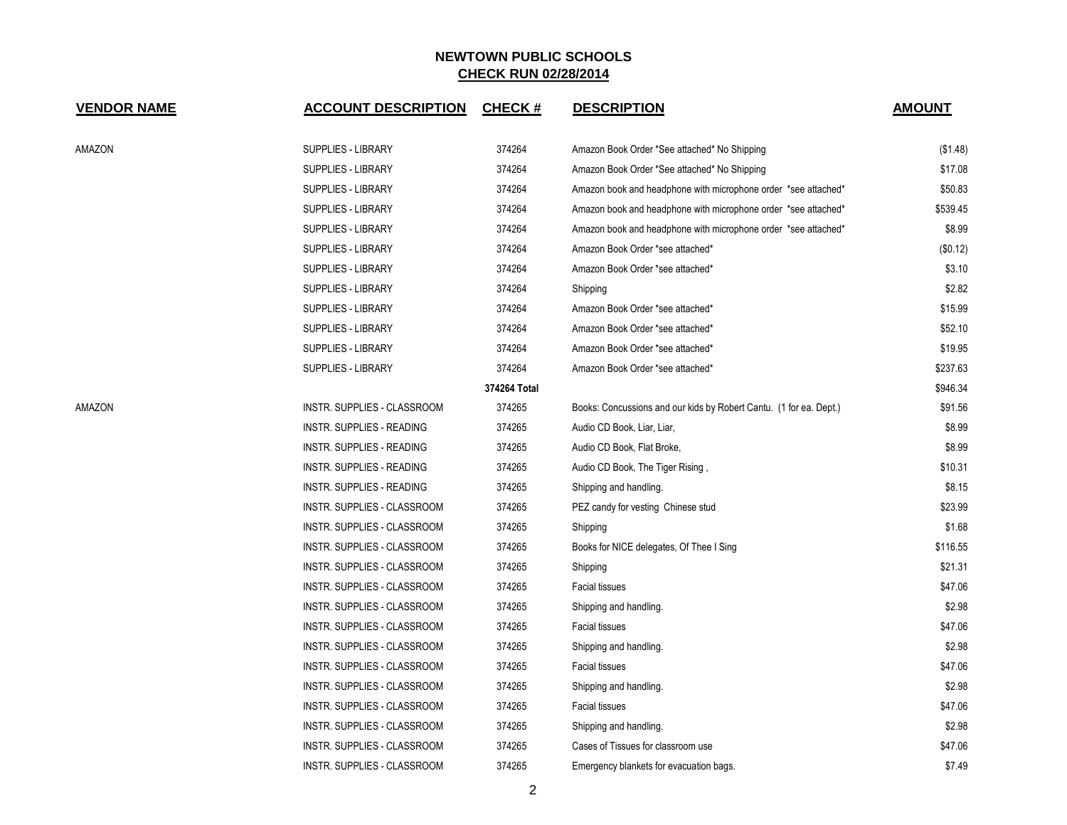| <b>VENDOR NAME</b> | <b>ACCOUNT DESCRIPTION</b>       | <b>CHECK#</b> | <b>DESCRIPTION</b>                                                 | <b>AMOUNT</b> |
|--------------------|----------------------------------|---------------|--------------------------------------------------------------------|---------------|
| AMAZON             | SUPPLIES - LIBRARY               | 374264        | Amazon Book Order *See attached* No Shipping                       | (\$1.48)      |
|                    | SUPPLIES - LIBRARY               | 374264        | Amazon Book Order *See attached* No Shipping                       | \$17.08       |
|                    | SUPPLIES - LIBRARY               | 374264        | Amazon book and headphone with microphone order *see attached*     | \$50.83       |
|                    | SUPPLIES - LIBRARY               | 374264        | Amazon book and headphone with microphone order *see attached*     | \$539.45      |
|                    | SUPPLIES - LIBRARY               | 374264        | Amazon book and headphone with microphone order *see attached*     | \$8.99        |
|                    | <b>SUPPLIES - LIBRARY</b>        | 374264        | Amazon Book Order *see attached*                                   | (\$0.12)      |
|                    | <b>SUPPLIES - LIBRARY</b>        | 374264        | Amazon Book Order *see attached*                                   | \$3.10        |
|                    | SUPPLIES - LIBRARY               | 374264        | Shipping                                                           | \$2.82        |
|                    | SUPPLIES - LIBRARY               | 374264        | Amazon Book Order *see attached*                                   | \$15.99       |
|                    | SUPPLIES - LIBRARY               | 374264        | Amazon Book Order *see attached*                                   | \$52.10       |
|                    | <b>SUPPLIES - LIBRARY</b>        | 374264        | Amazon Book Order *see attached*                                   | \$19.95       |
|                    | <b>SUPPLIES - LIBRARY</b>        | 374264        | Amazon Book Order *see attached*                                   | \$237.63      |
|                    |                                  | 374264 Total  |                                                                    | \$946.34      |
| AMAZON             | INSTR. SUPPLIES - CLASSROOM      | 374265        | Books: Concussions and our kids by Robert Cantu. (1 for ea. Dept.) | \$91.56       |
|                    | <b>INSTR. SUPPLIES - READING</b> | 374265        | Audio CD Book, Liar, Liar,                                         | \$8.99        |
|                    | <b>INSTR. SUPPLIES - READING</b> | 374265        | Audio CD Book, Flat Broke,                                         | \$8.99        |
|                    | <b>INSTR. SUPPLIES - READING</b> | 374265        | Audio CD Book, The Tiger Rising,                                   | \$10.31       |
|                    | <b>INSTR. SUPPLIES - READING</b> | 374265        | Shipping and handling.                                             | \$8.15        |
|                    | INSTR. SUPPLIES - CLASSROOM      | 374265        | PEZ candy for vesting Chinese stud                                 | \$23.99       |
|                    | INSTR. SUPPLIES - CLASSROOM      | 374265        | Shipping                                                           | \$1.68        |
|                    | INSTR. SUPPLIES - CLASSROOM      | 374265        | Books for NICE delegates, Of Thee I Sing                           | \$116.55      |
|                    | INSTR. SUPPLIES - CLASSROOM      | 374265        | Shipping                                                           | \$21.31       |
|                    | INSTR. SUPPLIES - CLASSROOM      | 374265        | <b>Facial tissues</b>                                              | \$47.06       |
|                    | INSTR. SUPPLIES - CLASSROOM      | 374265        | Shipping and handling.                                             | \$2.98        |
|                    | INSTR. SUPPLIES - CLASSROOM      | 374265        | <b>Facial tissues</b>                                              | \$47.06       |
|                    | INSTR. SUPPLIES - CLASSROOM      | 374265        | Shipping and handling.                                             | \$2.98        |
|                    | INSTR. SUPPLIES - CLASSROOM      | 374265        | <b>Facial tissues</b>                                              | \$47.06       |
|                    | INSTR. SUPPLIES - CLASSROOM      | 374265        | Shipping and handling.                                             | \$2.98        |
|                    | INSTR. SUPPLIES - CLASSROOM      | 374265        | <b>Facial tissues</b>                                              | \$47.06       |
|                    | INSTR. SUPPLIES - CLASSROOM      | 374265        | Shipping and handling.                                             | \$2.98        |
|                    | INSTR. SUPPLIES - CLASSROOM      | 374265        | Cases of Tissues for classroom use                                 | \$47.06       |
|                    | INSTR. SUPPLIES - CLASSROOM      | 374265        | Emergency blankets for evacuation bags.                            | \$7.49        |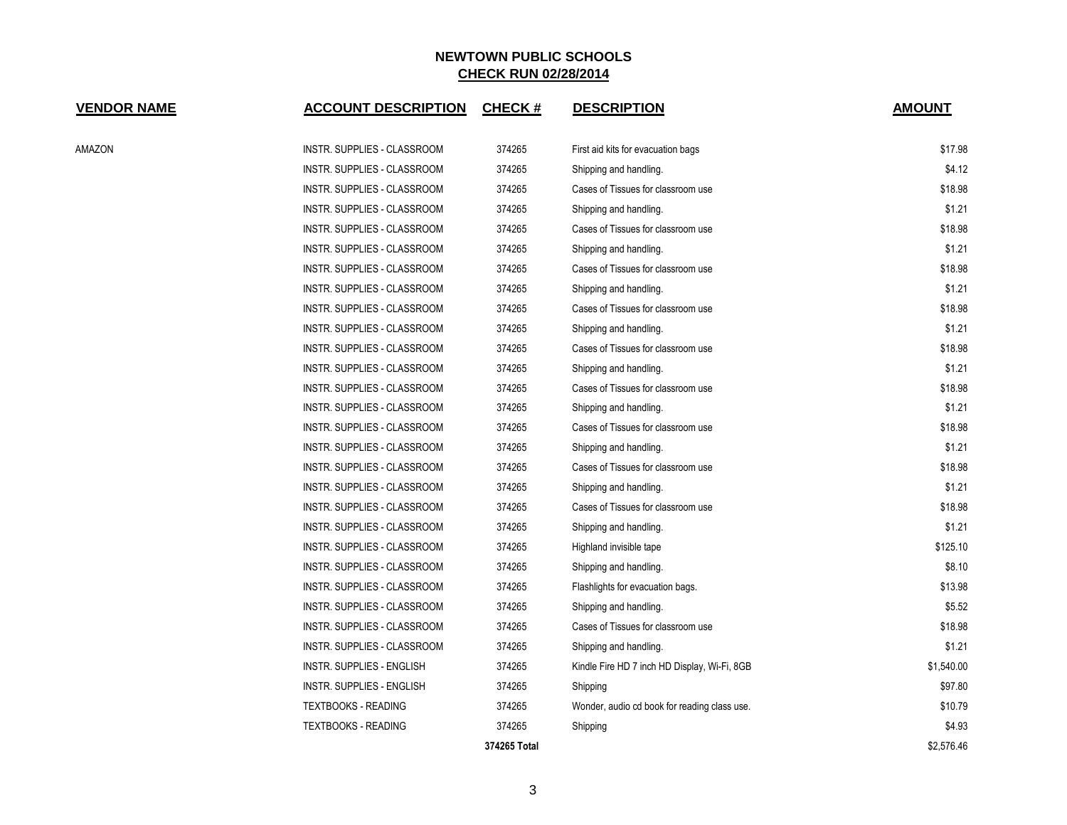| <b>VENDOR NAME</b> | <b>ACCOUNT DESCRIPTION</b>       | <b>CHECK#</b> | <b>DESCRIPTION</b>                           | <b>AMOUNT</b> |
|--------------------|----------------------------------|---------------|----------------------------------------------|---------------|
| AMAZON             | INSTR. SUPPLIES - CLASSROOM      | 374265        | First aid kits for evacuation bags           | \$17.98       |
|                    | INSTR. SUPPLIES - CLASSROOM      | 374265        | Shipping and handling.                       | \$4.12        |
|                    | INSTR. SUPPLIES - CLASSROOM      | 374265        | Cases of Tissues for classroom use           | \$18.98       |
|                    | INSTR. SUPPLIES - CLASSROOM      | 374265        | Shipping and handling.                       | \$1.21        |
|                    | INSTR. SUPPLIES - CLASSROOM      | 374265        | Cases of Tissues for classroom use           | \$18.98       |
|                    | INSTR. SUPPLIES - CLASSROOM      | 374265        | Shipping and handling.                       | \$1.21        |
|                    | INSTR. SUPPLIES - CLASSROOM      | 374265        | Cases of Tissues for classroom use           | \$18.98       |
|                    | INSTR. SUPPLIES - CLASSROOM      | 374265        | Shipping and handling.                       | \$1.21        |
|                    | INSTR. SUPPLIES - CLASSROOM      | 374265        | Cases of Tissues for classroom use           | \$18.98       |
|                    | INSTR. SUPPLIES - CLASSROOM      | 374265        | Shipping and handling.                       | \$1.21        |
|                    | INSTR. SUPPLIES - CLASSROOM      | 374265        | Cases of Tissues for classroom use           | \$18.98       |
|                    | INSTR. SUPPLIES - CLASSROOM      | 374265        | Shipping and handling.                       | \$1.21        |
|                    | INSTR. SUPPLIES - CLASSROOM      | 374265        | Cases of Tissues for classroom use           | \$18.98       |
|                    | INSTR. SUPPLIES - CLASSROOM      | 374265        | Shipping and handling.                       | \$1.21        |
|                    | INSTR. SUPPLIES - CLASSROOM      | 374265        | Cases of Tissues for classroom use           | \$18.98       |
|                    | INSTR. SUPPLIES - CLASSROOM      | 374265        | Shipping and handling.                       | \$1.21        |
|                    | INSTR. SUPPLIES - CLASSROOM      | 374265        | Cases of Tissues for classroom use           | \$18.98       |
|                    | INSTR. SUPPLIES - CLASSROOM      | 374265        | Shipping and handling.                       | \$1.21        |
|                    | INSTR. SUPPLIES - CLASSROOM      | 374265        | Cases of Tissues for classroom use           | \$18.98       |
|                    | INSTR. SUPPLIES - CLASSROOM      | 374265        | Shipping and handling.                       | \$1.21        |
|                    | INSTR. SUPPLIES - CLASSROOM      | 374265        | Highland invisible tape                      | \$125.10      |
|                    | INSTR. SUPPLIES - CLASSROOM      | 374265        | Shipping and handling.                       | \$8.10        |
|                    | INSTR. SUPPLIES - CLASSROOM      | 374265        | Flashlights for evacuation bags.             | \$13.98       |
|                    | INSTR. SUPPLIES - CLASSROOM      | 374265        | Shipping and handling.                       | \$5.52        |
|                    | INSTR. SUPPLIES - CLASSROOM      | 374265        | Cases of Tissues for classroom use           | \$18.98       |
|                    | INSTR. SUPPLIES - CLASSROOM      | 374265        | Shipping and handling.                       | \$1.21        |
|                    | <b>INSTR. SUPPLIES - ENGLISH</b> | 374265        | Kindle Fire HD 7 inch HD Display, Wi-Fi, 8GB | \$1,540.00    |
|                    | <b>INSTR. SUPPLIES - ENGLISH</b> | 374265        | Shipping                                     | \$97.80       |
|                    | <b>TEXTBOOKS - READING</b>       | 374265        | Wonder, audio cd book for reading class use. | \$10.79       |
|                    | <b>TEXTBOOKS - READING</b>       | 374265        | Shipping                                     | \$4.93        |
|                    |                                  | 374265 Total  |                                              | \$2,576.46    |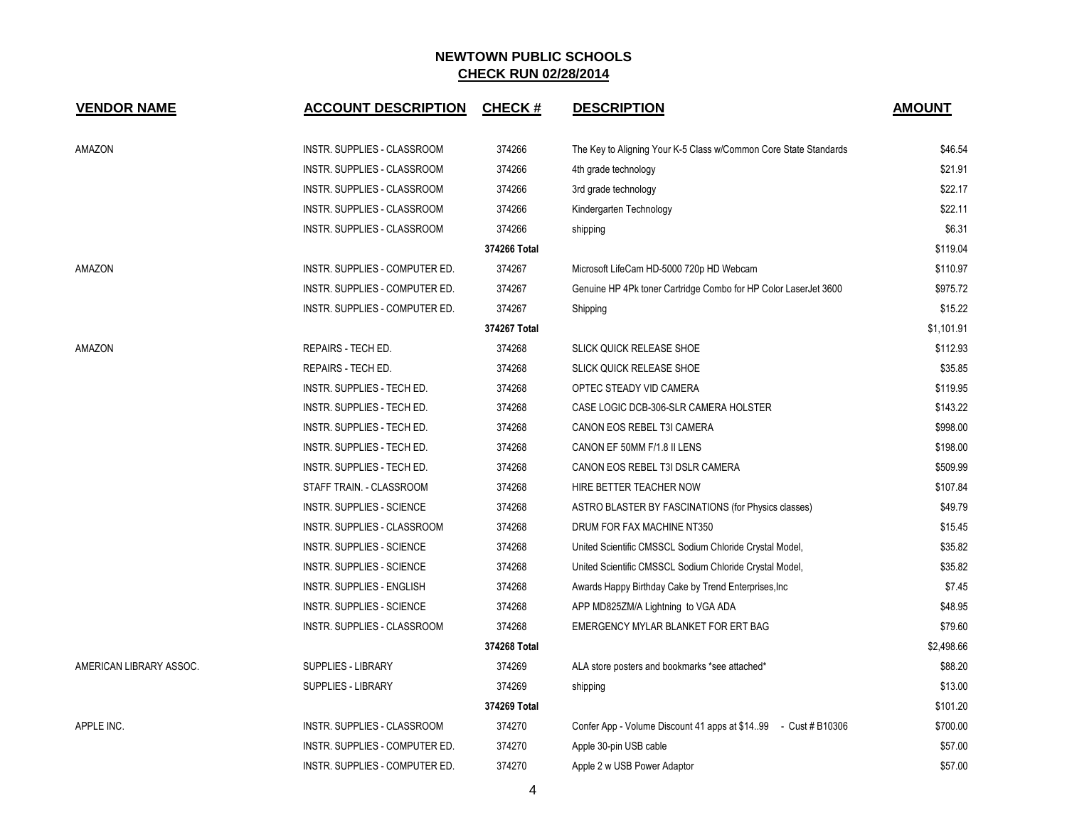| <b>VENDOR NAME</b>      | <b>ACCOUNT DESCRIPTION</b>       | <b>CHECK#</b> | <b>DESCRIPTION</b>                                               | <b>AMOUNT</b> |
|-------------------------|----------------------------------|---------------|------------------------------------------------------------------|---------------|
| AMAZON                  | INSTR. SUPPLIES - CLASSROOM      | 374266        | The Key to Aligning Your K-5 Class w/Common Core State Standards | \$46.54       |
|                         | INSTR. SUPPLIES - CLASSROOM      | 374266        | 4th grade technology                                             | \$21.91       |
|                         | INSTR. SUPPLIES - CLASSROOM      | 374266        | 3rd grade technology                                             | \$22.17       |
|                         | INSTR. SUPPLIES - CLASSROOM      | 374266        | Kindergarten Technology                                          | \$22.11       |
|                         | INSTR. SUPPLIES - CLASSROOM      | 374266        | shipping                                                         | \$6.31        |
|                         |                                  | 374266 Total  |                                                                  | \$119.04      |
| AMAZON                  | INSTR. SUPPLIES - COMPUTER ED.   | 374267        | Microsoft LifeCam HD-5000 720p HD Webcam                         | \$110.97      |
|                         | INSTR. SUPPLIES - COMPUTER ED.   | 374267        | Genuine HP 4Pk toner Cartridge Combo for HP Color LaserJet 3600  | \$975.72      |
|                         | INSTR. SUPPLIES - COMPUTER ED.   | 374267        | Shipping                                                         | \$15.22       |
|                         |                                  | 374267 Total  |                                                                  | \$1,101.91    |
| AMAZON                  | REPAIRS - TECH ED.               | 374268        | <b>SLICK QUICK RELEASE SHOE</b>                                  | \$112.93      |
|                         | REPAIRS - TECH ED.               | 374268        | <b>SLICK QUICK RELEASE SHOE</b>                                  | \$35.85       |
|                         | INSTR. SUPPLIES - TECH ED.       | 374268        | OPTEC STEADY VID CAMERA                                          | \$119.95      |
|                         | INSTR. SUPPLIES - TECH ED.       | 374268        | CASE LOGIC DCB-306-SLR CAMERA HOLSTER                            | \$143.22      |
|                         | INSTR. SUPPLIES - TECH ED.       | 374268        | CANON EOS REBEL T3I CAMERA                                       | \$998.00      |
|                         | INSTR. SUPPLIES - TECH ED.       | 374268        | CANON EF 50MM F/1.8 II LENS                                      | \$198.00      |
|                         | INSTR. SUPPLIES - TECH ED.       | 374268        | CANON EOS REBEL T3I DSLR CAMERA                                  | \$509.99      |
|                         | STAFF TRAIN. - CLASSROOM         | 374268        | HIRE BETTER TEACHER NOW                                          | \$107.84      |
|                         | <b>INSTR. SUPPLIES - SCIENCE</b> | 374268        | ASTRO BLASTER BY FASCINATIONS (for Physics classes)              | \$49.79       |
|                         | INSTR. SUPPLIES - CLASSROOM      | 374268        | DRUM FOR FAX MACHINE NT350                                       | \$15.45       |
|                         | <b>INSTR. SUPPLIES - SCIENCE</b> | 374268        | United Scientific CMSSCL Sodium Chloride Crystal Model,          | \$35.82       |
|                         | <b>INSTR. SUPPLIES - SCIENCE</b> | 374268        | United Scientific CMSSCL Sodium Chloride Crystal Model,          | \$35.82       |
|                         | INSTR. SUPPLIES - ENGLISH        | 374268        | Awards Happy Birthday Cake by Trend Enterprises, Inc.            | \$7.45        |
|                         | <b>INSTR. SUPPLIES - SCIENCE</b> | 374268        | APP MD825ZM/A Lightning to VGA ADA                               | \$48.95       |
|                         | INSTR. SUPPLIES - CLASSROOM      | 374268        | EMERGENCY MYLAR BLANKET FOR ERT BAG                              | \$79.60       |
|                         |                                  | 374268 Total  |                                                                  | \$2,498.66    |
| AMERICAN LIBRARY ASSOC. | <b>SUPPLIES - LIBRARY</b>        | 374269        | ALA store posters and bookmarks *see attached*                   | \$88.20       |
|                         | <b>SUPPLIES - LIBRARY</b>        | 374269        | shipping                                                         | \$13.00       |
|                         |                                  | 374269 Total  |                                                                  | \$101.20      |
| APPLE INC.              | INSTR. SUPPLIES - CLASSROOM      | 374270        | Confer App - Volume Discount 41 apps at \$14.99 - Cust # B10306  | \$700.00      |
|                         | INSTR. SUPPLIES - COMPUTER ED.   | 374270        | Apple 30-pin USB cable                                           | \$57.00       |
|                         | INSTR. SUPPLIES - COMPUTER ED.   | 374270        | Apple 2 w USB Power Adaptor                                      | \$57.00       |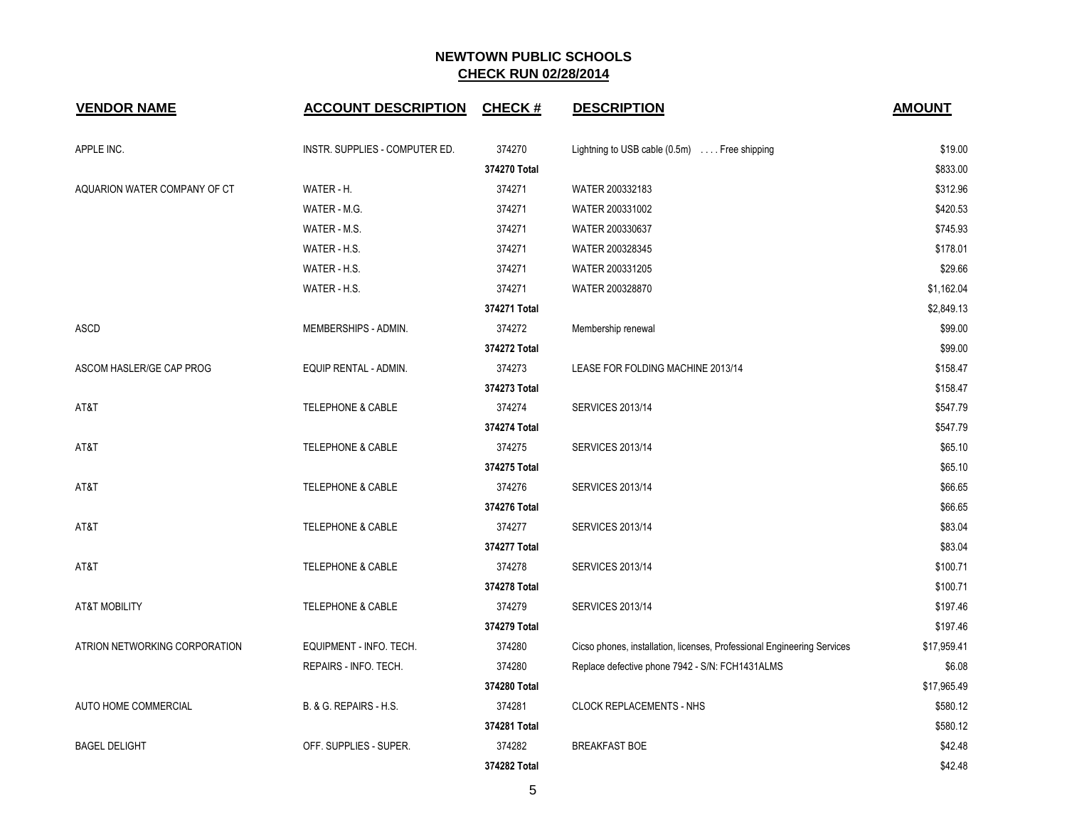| <b>VENDOR NAME</b>            | <b>ACCOUNT DESCRIPTION</b>     | <b>CHECK#</b> | <b>DESCRIPTION</b>                                                      | <b>AMOUNT</b> |
|-------------------------------|--------------------------------|---------------|-------------------------------------------------------------------------|---------------|
| APPLE INC.                    | INSTR. SUPPLIES - COMPUTER ED. | 374270        | Lightning to USB cable $(0.5m)$ Free shipping                           | \$19.00       |
|                               |                                | 374270 Total  |                                                                         | \$833.00      |
| AQUARION WATER COMPANY OF CT  | WATER - H.                     | 374271        | WATER 200332183                                                         | \$312.96      |
|                               | WATER - M.G.                   | 374271        | WATER 200331002                                                         | \$420.53      |
|                               | WATER - M.S.                   | 374271        | WATER 200330637                                                         | \$745.93      |
|                               | WATER - H.S.                   | 374271        | WATER 200328345                                                         | \$178.01      |
|                               | WATER - H.S.                   | 374271        | WATER 200331205                                                         | \$29.66       |
|                               | WATER - H.S.                   | 374271        | WATER 200328870                                                         | \$1,162.04    |
|                               |                                | 374271 Total  |                                                                         | \$2,849.13    |
| <b>ASCD</b>                   | MEMBERSHIPS - ADMIN.           | 374272        | Membership renewal                                                      | \$99.00       |
|                               |                                | 374272 Total  |                                                                         | \$99.00       |
| ASCOM HASLER/GE CAP PROG      | EQUIP RENTAL - ADMIN.          | 374273        | LEASE FOR FOLDING MACHINE 2013/14                                       | \$158.47      |
|                               |                                | 374273 Total  |                                                                         | \$158.47      |
| AT&T                          | <b>TELEPHONE &amp; CABLE</b>   | 374274        | <b>SERVICES 2013/14</b>                                                 | \$547.79      |
|                               |                                | 374274 Total  |                                                                         | \$547.79      |
| AT&T                          | TELEPHONE & CABLE              | 374275        | <b>SERVICES 2013/14</b>                                                 | \$65.10       |
|                               |                                | 374275 Total  |                                                                         | \$65.10       |
| AT&T                          | TELEPHONE & CABLE              | 374276        | <b>SERVICES 2013/14</b>                                                 | \$66.65       |
|                               |                                | 374276 Total  |                                                                         | \$66.65       |
| AT&T                          | <b>TELEPHONE &amp; CABLE</b>   | 374277        | <b>SERVICES 2013/14</b>                                                 | \$83.04       |
|                               |                                | 374277 Total  |                                                                         | \$83.04       |
| AT&T                          | <b>TELEPHONE &amp; CABLE</b>   | 374278        | <b>SERVICES 2013/14</b>                                                 | \$100.71      |
|                               |                                | 374278 Total  |                                                                         | \$100.71      |
| <b>AT&amp;T MOBILITY</b>      | <b>TELEPHONE &amp; CABLE</b>   | 374279        | <b>SERVICES 2013/14</b>                                                 | \$197.46      |
|                               |                                | 374279 Total  |                                                                         | \$197.46      |
| ATRION NETWORKING CORPORATION | EQUIPMENT - INFO. TECH.        | 374280        | Cicso phones, installation, licenses, Professional Engineering Services | \$17,959.41   |
|                               | REPAIRS - INFO. TECH.          | 374280        | Replace defective phone 7942 - S/N: FCH1431ALMS                         | \$6.08        |
|                               |                                | 374280 Total  |                                                                         | \$17,965.49   |
| AUTO HOME COMMERCIAL          | B. & G. REPAIRS - H.S.         | 374281        | <b>CLOCK REPLACEMENTS - NHS</b>                                         | \$580.12      |
|                               |                                | 374281 Total  |                                                                         | \$580.12      |
| <b>BAGEL DELIGHT</b>          | OFF. SUPPLIES - SUPER.         | 374282        | <b>BREAKFAST BOE</b>                                                    | \$42.48       |
|                               |                                | 374282 Total  |                                                                         | \$42.48       |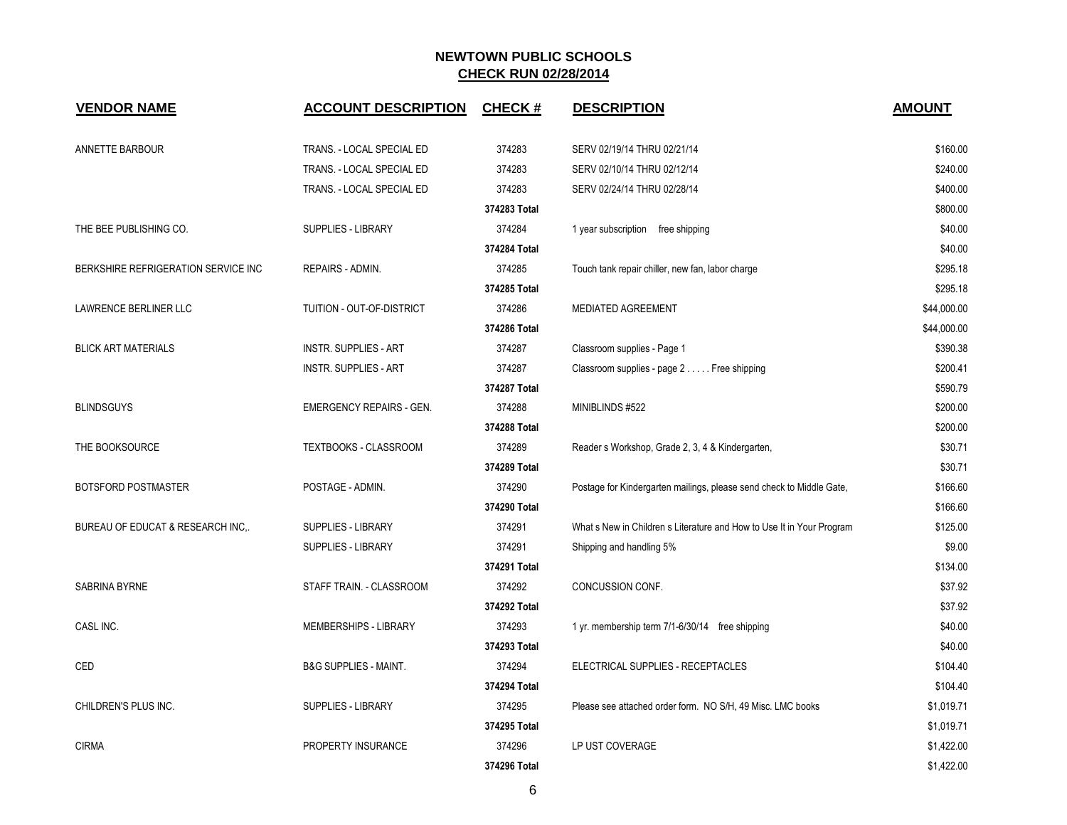| <b>VENDOR NAME</b>                  | <b>ACCOUNT DESCRIPTION</b>       | <b>CHECK#</b> | <b>DESCRIPTION</b>                                                    | <b>AMOUNT</b> |
|-------------------------------------|----------------------------------|---------------|-----------------------------------------------------------------------|---------------|
| ANNETTE BARBOUR                     | TRANS. - LOCAL SPECIAL ED        | 374283        | SERV 02/19/14 THRU 02/21/14                                           | \$160.00      |
|                                     | TRANS. - LOCAL SPECIAL ED        | 374283        | SERV 02/10/14 THRU 02/12/14                                           | \$240.00      |
|                                     | TRANS. - LOCAL SPECIAL ED        | 374283        | SERV 02/24/14 THRU 02/28/14                                           | \$400.00      |
|                                     |                                  | 374283 Total  |                                                                       | \$800.00      |
| THE BEE PUBLISHING CO.              | SUPPLIES - LIBRARY               | 374284        | 1 year subscription free shipping                                     | \$40.00       |
|                                     |                                  | 374284 Total  |                                                                       | \$40.00       |
| BERKSHIRE REFRIGERATION SERVICE INC | REPAIRS - ADMIN.                 | 374285        | Touch tank repair chiller, new fan, labor charge                      | \$295.18      |
|                                     |                                  | 374285 Total  |                                                                       | \$295.18      |
| LAWRENCE BERLINER LLC               | TUITION - OUT-OF-DISTRICT        | 374286        | <b>MEDIATED AGREEMENT</b>                                             | \$44,000.00   |
|                                     |                                  | 374286 Total  |                                                                       | \$44,000.00   |
| <b>BLICK ART MATERIALS</b>          | <b>INSTR. SUPPLIES - ART</b>     | 374287        | Classroom supplies - Page 1                                           | \$390.38      |
|                                     | <b>INSTR. SUPPLIES - ART</b>     | 374287        | Classroom supplies - page 2 Free shipping                             | \$200.41      |
|                                     |                                  | 374287 Total  |                                                                       | \$590.79      |
| <b>BLINDSGUYS</b>                   | <b>EMERGENCY REPAIRS - GEN.</b>  | 374288        | MINIBLINDS #522                                                       | \$200.00      |
|                                     |                                  | 374288 Total  |                                                                       | \$200.00      |
| THE BOOKSOURCE                      | TEXTBOOKS - CLASSROOM            | 374289        | Reader s Workshop, Grade 2, 3, 4 & Kindergarten,                      | \$30.71       |
|                                     |                                  | 374289 Total  |                                                                       | \$30.71       |
| BOTSFORD POSTMASTER                 | POSTAGE - ADMIN.                 | 374290        | Postage for Kindergarten mailings, please send check to Middle Gate,  | \$166.60      |
|                                     |                                  | 374290 Total  |                                                                       | \$166.60      |
| BUREAU OF EDUCAT & RESEARCH INC.    | <b>SUPPLIES - LIBRARY</b>        | 374291        | What s New in Children s Literature and How to Use It in Your Program | \$125.00      |
|                                     | <b>SUPPLIES - LIBRARY</b>        | 374291        | Shipping and handling 5%                                              | \$9.00        |
|                                     |                                  | 374291 Total  |                                                                       | \$134.00      |
| SABRINA BYRNE                       | STAFF TRAIN. - CLASSROOM         | 374292        | CONCUSSION CONF.                                                      | \$37.92       |
|                                     |                                  | 374292 Total  |                                                                       | \$37.92       |
| CASL INC.                           | MEMBERSHIPS - LIBRARY            | 374293        | 1 yr. membership term 7/1-6/30/14 free shipping                       | \$40.00       |
|                                     |                                  | 374293 Total  |                                                                       | \$40.00       |
| CED                                 | <b>B&amp;G SUPPLIES - MAINT.</b> | 374294        | ELECTRICAL SUPPLIES - RECEPTACLES                                     | \$104.40      |
|                                     |                                  | 374294 Total  |                                                                       | \$104.40      |
| CHILDREN'S PLUS INC.                | <b>SUPPLIES - LIBRARY</b>        | 374295        | Please see attached order form. NO S/H, 49 Misc. LMC books            | \$1,019.71    |
|                                     |                                  | 374295 Total  |                                                                       | \$1,019.71    |
| <b>CIRMA</b>                        | PROPERTY INSURANCE               | 374296        | LP UST COVERAGE                                                       | \$1,422.00    |
|                                     |                                  | 374296 Total  |                                                                       | \$1,422.00    |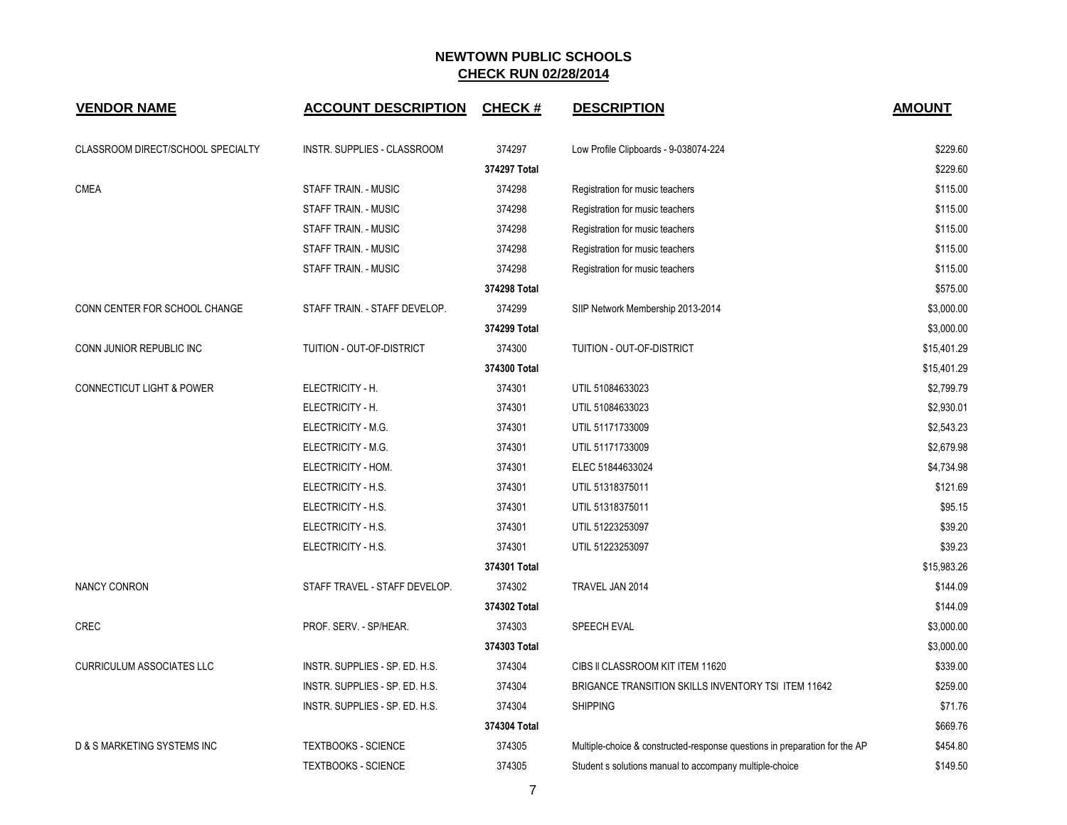| <b>VENDOR NAME</b>                   | <b>ACCOUNT DESCRIPTION</b>     | <b>CHECK#</b> | <b>DESCRIPTION</b>                                                         | <b>AMOUNT</b> |
|--------------------------------------|--------------------------------|---------------|----------------------------------------------------------------------------|---------------|
| CLASSROOM DIRECT/SCHOOL SPECIALTY    | INSTR. SUPPLIES - CLASSROOM    | 374297        | Low Profile Clipboards - 9-038074-224                                      | \$229.60      |
|                                      |                                | 374297 Total  |                                                                            | \$229.60      |
| <b>CMEA</b>                          | <b>STAFF TRAIN. - MUSIC</b>    | 374298        | Registration for music teachers                                            | \$115.00      |
|                                      | <b>STAFF TRAIN. - MUSIC</b>    | 374298        | Registration for music teachers                                            | \$115.00      |
|                                      | <b>STAFF TRAIN. - MUSIC</b>    | 374298        | Registration for music teachers                                            | \$115.00      |
|                                      | <b>STAFF TRAIN. - MUSIC</b>    | 374298        | Registration for music teachers                                            | \$115.00      |
|                                      | STAFF TRAIN. - MUSIC           | 374298        | Registration for music teachers                                            | \$115.00      |
|                                      |                                | 374298 Total  |                                                                            | \$575.00      |
| CONN CENTER FOR SCHOOL CHANGE        | STAFF TRAIN. - STAFF DEVELOP.  | 374299        | SIIP Network Membership 2013-2014                                          | \$3,000.00    |
|                                      |                                | 374299 Total  |                                                                            | \$3,000.00    |
| CONN JUNIOR REPUBLIC INC             | TUITION - OUT-OF-DISTRICT      | 374300        | TUITION - OUT-OF-DISTRICT                                                  | \$15,401.29   |
|                                      |                                | 374300 Total  |                                                                            | \$15,401.29   |
| <b>CONNECTICUT LIGHT &amp; POWER</b> | ELECTRICITY - H.               | 374301        | UTIL 51084633023                                                           | \$2,799.79    |
|                                      | ELECTRICITY - H.               | 374301        | UTIL 51084633023                                                           | \$2,930.01    |
|                                      | ELECTRICITY - M.G.             | 374301        | UTIL 51171733009                                                           | \$2,543.23    |
|                                      | ELECTRICITY - M.G.             | 374301        | UTIL 51171733009                                                           | \$2,679.98    |
|                                      | ELECTRICITY - HOM.             | 374301        | ELEC 51844633024                                                           | \$4,734.98    |
|                                      | ELECTRICITY - H.S.             | 374301        | UTIL 51318375011                                                           | \$121.69      |
|                                      | ELECTRICITY - H.S.             | 374301        | UTIL 51318375011                                                           | \$95.15       |
|                                      | ELECTRICITY - H.S.             | 374301        | UTIL 51223253097                                                           | \$39.20       |
|                                      | ELECTRICITY - H.S.             | 374301        | UTIL 51223253097                                                           | \$39.23       |
|                                      |                                | 374301 Total  |                                                                            | \$15,983.26   |
| <b>NANCY CONRON</b>                  | STAFF TRAVEL - STAFF DEVELOP.  | 374302        | TRAVEL JAN 2014                                                            | \$144.09      |
|                                      |                                | 374302 Total  |                                                                            | \$144.09      |
| <b>CREC</b>                          | PROF. SERV. - SP/HEAR.         | 374303        | SPEECH EVAL                                                                | \$3,000.00    |
|                                      |                                | 374303 Total  |                                                                            | \$3,000.00    |
| <b>CURRICULUM ASSOCIATES LLC</b>     | INSTR. SUPPLIES - SP. ED. H.S. | 374304        | CIBS II CLASSROOM KIT ITEM 11620                                           | \$339.00      |
|                                      | INSTR. SUPPLIES - SP. ED. H.S. | 374304        | BRIGANCE TRANSITION SKILLS INVENTORY TSI ITEM 11642                        | \$259.00      |
|                                      | INSTR. SUPPLIES - SP. ED. H.S. | 374304        | <b>SHIPPING</b>                                                            | \$71.76       |
|                                      |                                | 374304 Total  |                                                                            | \$669.76      |
| D & S MARKETING SYSTEMS INC          | <b>TEXTBOOKS - SCIENCE</b>     | 374305        | Multiple-choice & constructed-response questions in preparation for the AP | \$454.80      |
|                                      | <b>TEXTBOOKS - SCIENCE</b>     | 374305        | Student s solutions manual to accompany multiple-choice                    | \$149.50      |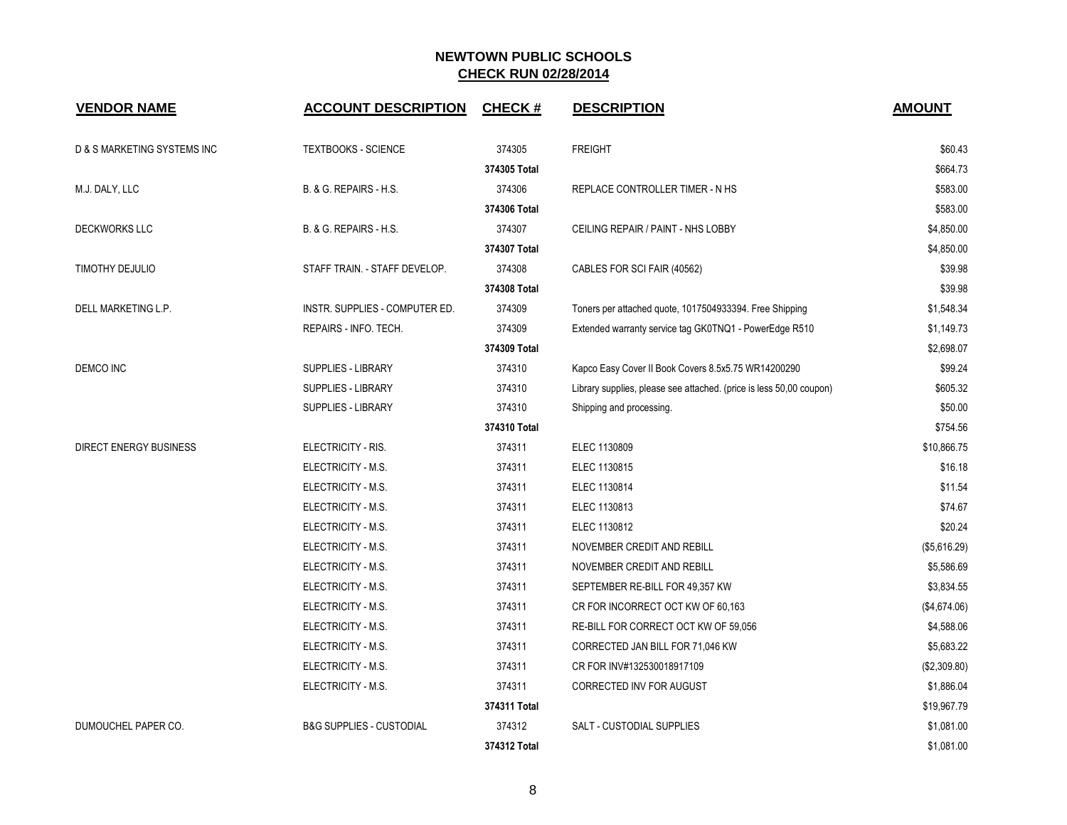| <b>VENDOR NAME</b>            | <b>ACCOUNT DESCRIPTION</b>          | <b>CHECK#</b> | <b>DESCRIPTION</b>                                                  | <b>AMOUNT</b> |
|-------------------------------|-------------------------------------|---------------|---------------------------------------------------------------------|---------------|
| D & S MARKETING SYSTEMS INC   | <b>TEXTBOOKS - SCIENCE</b>          | 374305        | <b>FREIGHT</b>                                                      | \$60.43       |
|                               |                                     | 374305 Total  |                                                                     | \$664.73      |
| M.J. DALY, LLC                | B. & G. REPAIRS - H.S.              | 374306        | REPLACE CONTROLLER TIMER - N HS                                     | \$583.00      |
|                               |                                     | 374306 Total  |                                                                     | \$583.00      |
| <b>DECKWORKS LLC</b>          | B. & G. REPAIRS - H.S.              | 374307        | CEILING REPAIR / PAINT - NHS LOBBY                                  | \$4,850.00    |
|                               |                                     | 374307 Total  |                                                                     | \$4,850.00    |
| TIMOTHY DEJULIO               | STAFF TRAIN. - STAFF DEVELOP.       | 374308        | CABLES FOR SCI FAIR (40562)                                         | \$39.98       |
|                               |                                     | 374308 Total  |                                                                     | \$39.98       |
| DELL MARKETING L.P.           | INSTR. SUPPLIES - COMPUTER ED.      | 374309        | Toners per attached quote, 1017504933394. Free Shipping             | \$1,548.34    |
|                               | REPAIRS - INFO. TECH.               | 374309        | Extended warranty service tag GK0TNQ1 - PowerEdge R510              | \$1,149.73    |
|                               |                                     | 374309 Total  |                                                                     | \$2,698.07    |
| DEMCO INC                     | <b>SUPPLIES - LIBRARY</b>           | 374310        | Kapco Easy Cover II Book Covers 8.5x5.75 WR14200290                 | \$99.24       |
|                               | <b>SUPPLIES - LIBRARY</b>           | 374310        | Library supplies, please see attached. (price is less 50,00 coupon) | \$605.32      |
|                               | <b>SUPPLIES - LIBRARY</b>           | 374310        | Shipping and processing.                                            | \$50.00       |
|                               |                                     | 374310 Total  |                                                                     | \$754.56      |
| <b>DIRECT ENERGY BUSINESS</b> | ELECTRICITY - RIS.                  | 374311        | ELEC 1130809                                                        | \$10,866.75   |
|                               | ELECTRICITY - M.S.                  | 374311        | ELEC 1130815                                                        | \$16.18       |
|                               | ELECTRICITY - M.S.                  | 374311        | ELEC 1130814                                                        | \$11.54       |
|                               | ELECTRICITY - M.S.                  | 374311        | ELEC 1130813                                                        | \$74.67       |
|                               | ELECTRICITY - M.S.                  | 374311        | ELEC 1130812                                                        | \$20.24       |
|                               | ELECTRICITY - M.S.                  | 374311        | NOVEMBER CREDIT AND REBILL                                          | (\$5,616.29)  |
|                               | ELECTRICITY - M.S.                  | 374311        | NOVEMBER CREDIT AND REBILL                                          | \$5,586.69    |
|                               | ELECTRICITY - M.S.                  | 374311        | SEPTEMBER RE-BILL FOR 49,357 KW                                     | \$3,834.55    |
|                               | ELECTRICITY - M.S.                  | 374311        | CR FOR INCORRECT OCT KW OF 60,163                                   | (\$4,674.06)  |
|                               | ELECTRICITY - M.S.                  | 374311        | RE-BILL FOR CORRECT OCT KW OF 59,056                                | \$4,588.06    |
|                               | ELECTRICITY - M.S.                  | 374311        | CORRECTED JAN BILL FOR 71,046 KW                                    | \$5,683.22    |
|                               | ELECTRICITY - M.S.                  | 374311        | CR FOR INV#132530018917109                                          | (\$2,309.80)  |
|                               | ELECTRICITY - M.S.                  | 374311        | CORRECTED INV FOR AUGUST                                            | \$1,886.04    |
|                               |                                     | 374311 Total  |                                                                     | \$19,967.79   |
| DUMOUCHEL PAPER CO.           | <b>B&amp;G SUPPLIES - CUSTODIAL</b> | 374312        | <b>SALT - CUSTODIAL SUPPLIES</b>                                    | \$1,081.00    |
|                               |                                     | 374312 Total  |                                                                     | \$1,081.00    |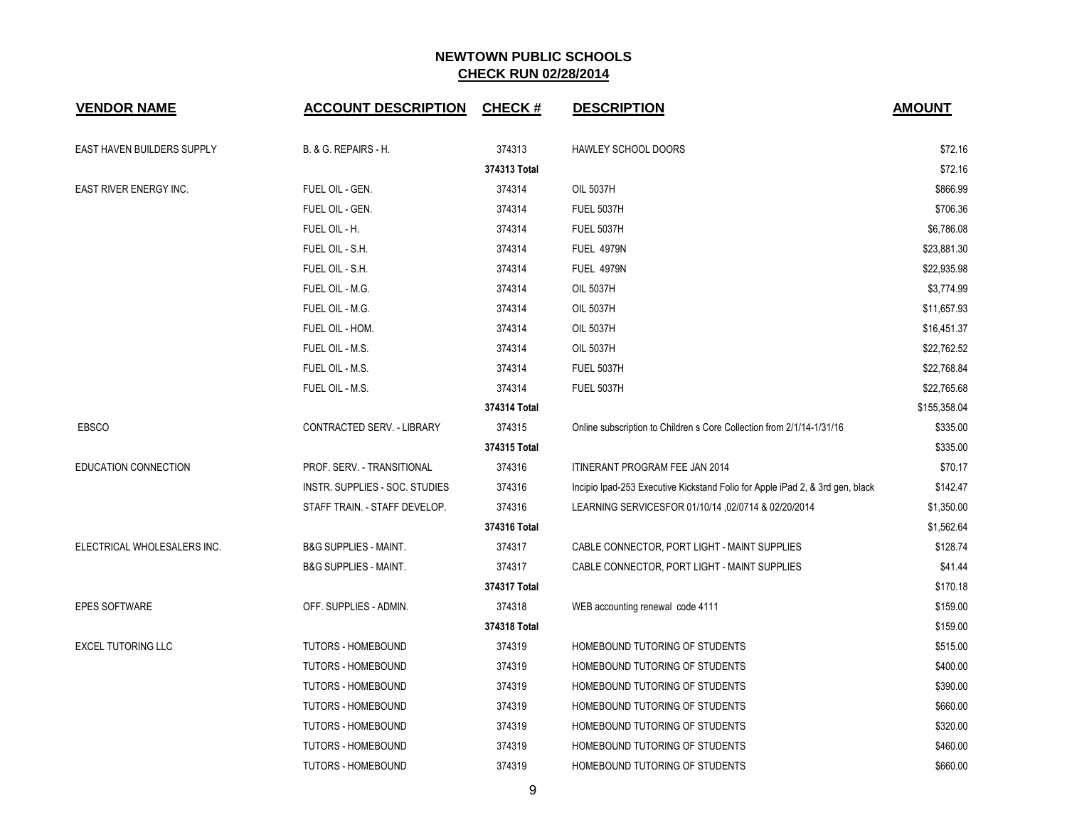| <b>VENDOR NAME</b>          | <b>ACCOUNT DESCRIPTION</b>       | <b>CHECK#</b> | <b>DESCRIPTION</b>                                                            | <b>AMOUNT</b> |
|-----------------------------|----------------------------------|---------------|-------------------------------------------------------------------------------|---------------|
| EAST HAVEN BUILDERS SUPPLY  | B. & G. REPAIRS - H.             | 374313        | <b>HAWLEY SCHOOL DOORS</b>                                                    | \$72.16       |
|                             |                                  | 374313 Total  |                                                                               | \$72.16       |
| EAST RIVER ENERGY INC.      | FUEL OIL - GEN.                  | 374314        | <b>OIL 5037H</b>                                                              | \$866.99      |
|                             | FUEL OIL - GEN.                  | 374314        | <b>FUEL 5037H</b>                                                             | \$706.36      |
|                             | FUEL OIL - H.                    | 374314        | <b>FUEL 5037H</b>                                                             | \$6,786.08    |
|                             | FUEL OIL - S.H.                  | 374314        | <b>FUEL 4979N</b>                                                             | \$23,881.30   |
|                             | FUEL OIL - S.H.                  | 374314        | <b>FUEL 4979N</b>                                                             | \$22,935.98   |
|                             | FUEL OIL - M.G.                  | 374314        | <b>OIL 5037H</b>                                                              | \$3,774.99    |
|                             | FUEL OIL - M.G.                  | 374314        | <b>OIL 5037H</b>                                                              | \$11,657.93   |
|                             | FUEL OIL - HOM.                  | 374314        | <b>OIL 5037H</b>                                                              | \$16,451.37   |
|                             | FUEL OIL - M.S.                  | 374314        | <b>OIL 5037H</b>                                                              | \$22,762.52   |
|                             | FUEL OIL - M.S.                  | 374314        | <b>FUEL 5037H</b>                                                             | \$22,768.84   |
|                             | FUEL OIL - M.S.                  | 374314        | <b>FUEL 5037H</b>                                                             | \$22,765.68   |
|                             |                                  | 374314 Total  |                                                                               | \$155,358.04  |
| <b>EBSCO</b>                | CONTRACTED SERV. - LIBRARY       | 374315        | Online subscription to Children s Core Collection from 2/1/14-1/31/16         | \$335.00      |
|                             |                                  | 374315 Total  |                                                                               | \$335.00      |
| EDUCATION CONNECTION        | PROF. SERV. - TRANSITIONAL       | 374316        | ITINERANT PROGRAM FEE JAN 2014                                                | \$70.17       |
|                             | INSTR. SUPPLIES - SOC. STUDIES   | 374316        | Incipio Ipad-253 Executive Kickstand Folio for Apple iPad 2, & 3rd gen, black | \$142.47      |
|                             | STAFF TRAIN. - STAFF DEVELOP.    | 374316        | LEARNING SERVICESFOR 01/10/14, 02/0714 & 02/20/2014                           | \$1,350.00    |
|                             |                                  | 374316 Total  |                                                                               | \$1,562.64    |
| ELECTRICAL WHOLESALERS INC. | <b>B&amp;G SUPPLIES - MAINT.</b> | 374317        | CABLE CONNECTOR, PORT LIGHT - MAINT SUPPLIES                                  | \$128.74      |
|                             | <b>B&amp;G SUPPLIES - MAINT.</b> | 374317        | CABLE CONNECTOR, PORT LIGHT - MAINT SUPPLIES                                  | \$41.44       |
|                             |                                  | 374317 Total  |                                                                               | \$170.18      |
| <b>EPES SOFTWARE</b>        | OFF. SUPPLIES - ADMIN.           | 374318        | WEB accounting renewal code 4111                                              | \$159.00      |
|                             |                                  | 374318 Total  |                                                                               | \$159.00      |
| <b>EXCEL TUTORING LLC</b>   | <b>TUTORS - HOMEBOUND</b>        | 374319        | HOMEBOUND TUTORING OF STUDENTS                                                | \$515.00      |
|                             | <b>TUTORS - HOMEBOUND</b>        | 374319        | HOMEBOUND TUTORING OF STUDENTS                                                | \$400.00      |
|                             | TUTORS - HOMEBOUND               | 374319        | HOMEBOUND TUTORING OF STUDENTS                                                | \$390.00      |
|                             | TUTORS - HOMEBOUND               | 374319        | HOMEBOUND TUTORING OF STUDENTS                                                | \$660.00      |
|                             | <b>TUTORS - HOMEBOUND</b>        | 374319        | HOMEBOUND TUTORING OF STUDENTS                                                | \$320.00      |
|                             | <b>TUTORS - HOMEBOUND</b>        | 374319        | HOMEBOUND TUTORING OF STUDENTS                                                | \$460.00      |
|                             | <b>TUTORS - HOMEBOUND</b>        | 374319        | HOMEBOUND TUTORING OF STUDENTS                                                | \$660.00      |

9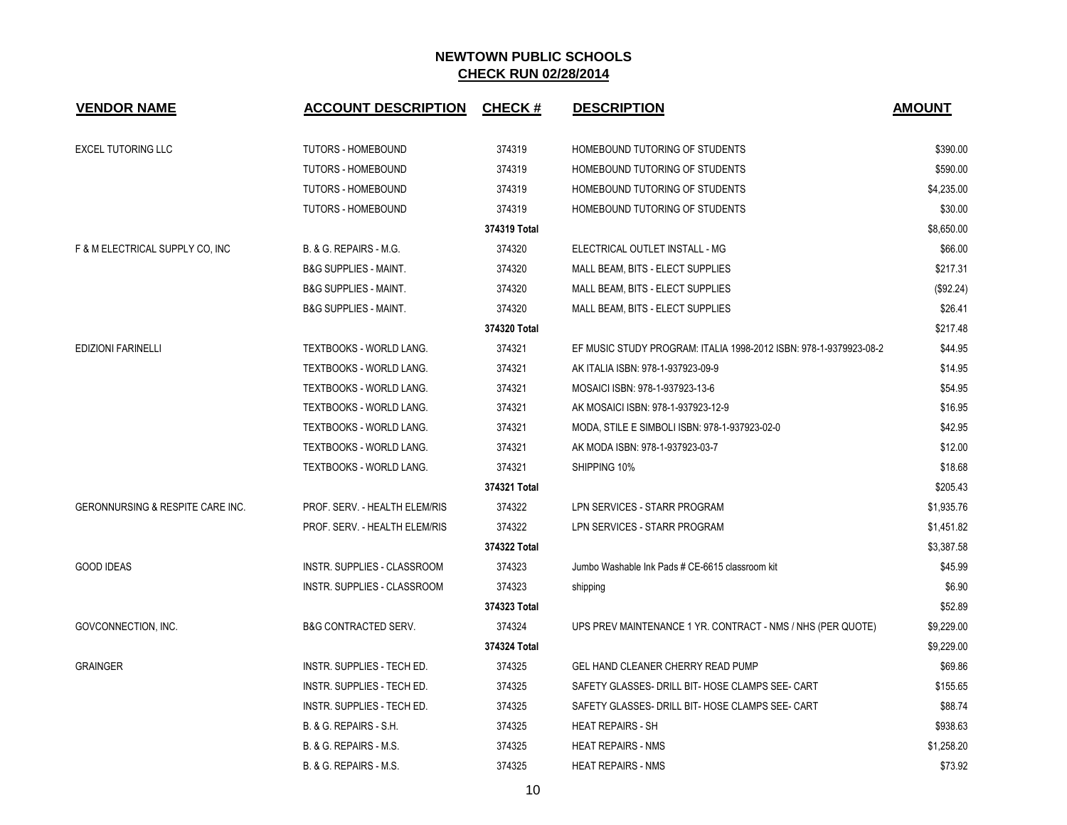| <b>VENDOR NAME</b>               | <b>ACCOUNT DESCRIPTION</b>         | <b>CHECK#</b> | <b>DESCRIPTION</b>                                                | <b>AMOUNT</b> |
|----------------------------------|------------------------------------|---------------|-------------------------------------------------------------------|---------------|
| <b>EXCEL TUTORING LLC</b>        | <b>TUTORS - HOMEBOUND</b>          | 374319        | HOMEBOUND TUTORING OF STUDENTS                                    | \$390.00      |
|                                  | <b>TUTORS - HOMEBOUND</b>          | 374319        | HOMEBOUND TUTORING OF STUDENTS                                    | \$590.00      |
|                                  | TUTORS - HOMEBOUND                 | 374319        | HOMEBOUND TUTORING OF STUDENTS                                    | \$4,235.00    |
|                                  | <b>TUTORS - HOMEBOUND</b>          | 374319        | HOMEBOUND TUTORING OF STUDENTS                                    | \$30.00       |
|                                  |                                    | 374319 Total  |                                                                   | \$8,650.00    |
| F & M ELECTRICAL SUPPLY CO, INC  | B. & G. REPAIRS - M.G.             | 374320        | ELECTRICAL OUTLET INSTALL - MG                                    | \$66.00       |
|                                  | <b>B&amp;G SUPPLIES - MAINT.</b>   | 374320        | MALL BEAM, BITS - ELECT SUPPLIES                                  | \$217.31      |
|                                  | <b>B&amp;G SUPPLIES - MAINT.</b>   | 374320        | MALL BEAM, BITS - ELECT SUPPLIES                                  | (\$92.24)     |
|                                  | <b>B&amp;G SUPPLIES - MAINT.</b>   | 374320        | MALL BEAM, BITS - ELECT SUPPLIES                                  | \$26.41       |
|                                  |                                    | 374320 Total  |                                                                   | \$217.48      |
| <b>EDIZIONI FARINELLI</b>        | TEXTBOOKS - WORLD LANG.            | 374321        | EF MUSIC STUDY PROGRAM: ITALIA 1998-2012 ISBN: 978-1-9379923-08-2 | \$44.95       |
|                                  | <b>TEXTBOOKS - WORLD LANG.</b>     | 374321        | AK ITALIA ISBN: 978-1-937923-09-9                                 | \$14.95       |
|                                  | TEXTBOOKS - WORLD LANG.            | 374321        | MOSAICI ISBN: 978-1-937923-13-6                                   | \$54.95       |
|                                  | TEXTBOOKS - WORLD LANG.            | 374321        | AK MOSAICI ISBN: 978-1-937923-12-9                                | \$16.95       |
|                                  | TEXTBOOKS - WORLD LANG.            | 374321        | MODA, STILE E SIMBOLI ISBN: 978-1-937923-02-0                     | \$42.95       |
|                                  | TEXTBOOKS - WORLD LANG.            | 374321        | AK MODA ISBN: 978-1-937923-03-7                                   | \$12.00       |
|                                  | TEXTBOOKS - WORLD LANG.            | 374321        | SHIPPING 10%                                                      | \$18.68       |
|                                  |                                    | 374321 Total  |                                                                   | \$205.43      |
| GERONNURSING & RESPITE CARE INC. | PROF. SERV. - HEALTH ELEM/RIS      | 374322        | LPN SERVICES - STARR PROGRAM                                      | \$1,935.76    |
|                                  | PROF. SERV. - HEALTH ELEM/RIS      | 374322        | LPN SERVICES - STARR PROGRAM                                      | \$1,451.82    |
|                                  |                                    | 374322 Total  |                                                                   | \$3,387.58    |
| <b>GOOD IDEAS</b>                | <b>INSTR. SUPPLIES - CLASSROOM</b> | 374323        | Jumbo Washable Ink Pads # CE-6615 classroom kit                   | \$45.99       |
|                                  | <b>INSTR. SUPPLIES - CLASSROOM</b> | 374323        | shipping                                                          | \$6.90        |
|                                  |                                    | 374323 Total  |                                                                   | \$52.89       |
| GOVCONNECTION, INC.              | <b>B&amp;G CONTRACTED SERV.</b>    | 374324        | UPS PREV MAINTENANCE 1 YR. CONTRACT - NMS / NHS (PER QUOTE)       | \$9,229.00    |
|                                  |                                    | 374324 Total  |                                                                   | \$9,229.00    |
| <b>GRAINGER</b>                  | INSTR. SUPPLIES - TECH ED.         | 374325        | GEL HAND CLEANER CHERRY READ PUMP                                 | \$69.86       |
|                                  | INSTR. SUPPLIES - TECH ED.         | 374325        | SAFETY GLASSES- DRILL BIT- HOSE CLAMPS SEE- CART                  | \$155.65      |
|                                  | INSTR. SUPPLIES - TECH ED.         | 374325        | SAFETY GLASSES- DRILL BIT- HOSE CLAMPS SEE- CART                  | \$88.74       |
|                                  | B. & G. REPAIRS - S.H.             | 374325        | <b>HEAT REPAIRS - SH</b>                                          | \$938.63      |
|                                  | B. & G. REPAIRS - M.S.             | 374325        | <b>HEAT REPAIRS - NMS</b>                                         | \$1,258.20    |
|                                  | B. & G. REPAIRS - M.S.             | 374325        | <b>HEAT REPAIRS - NMS</b>                                         | \$73.92       |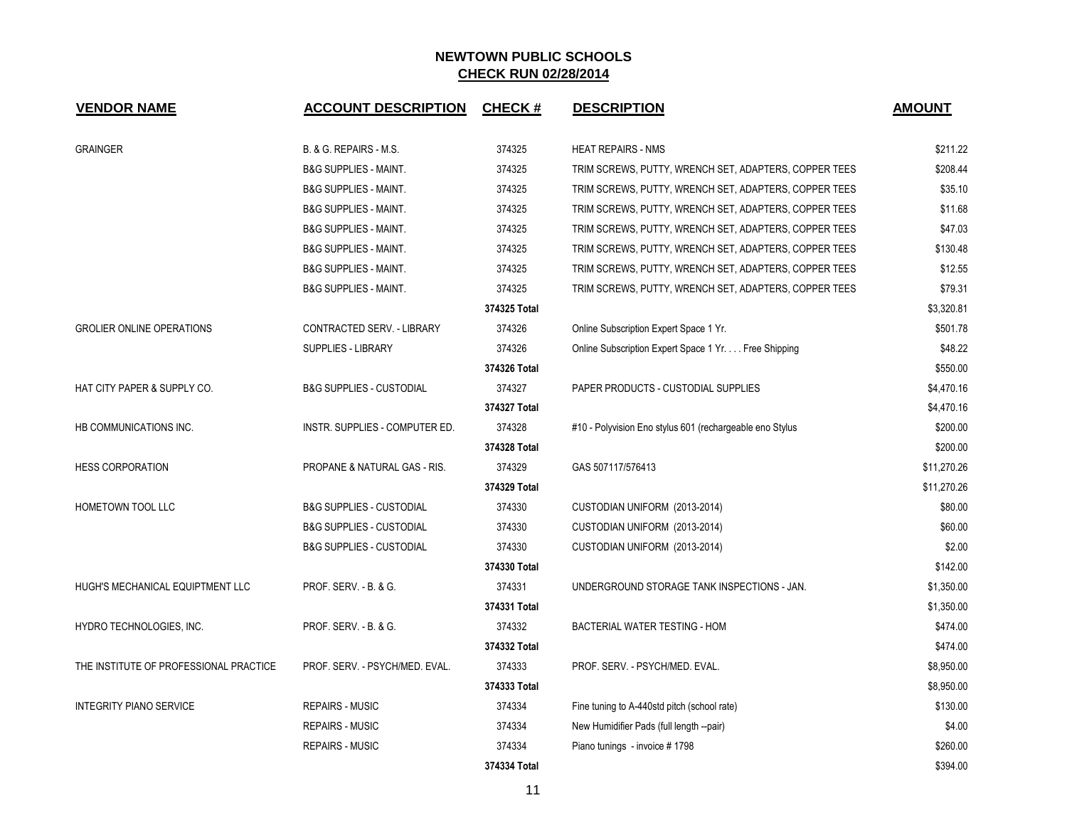| <b>VENDOR NAME</b>                     | <b>ACCOUNT DESCRIPTION</b>          | <b>CHECK#</b> | <b>DESCRIPTION</b>                                       | <b>AMOUNT</b> |
|----------------------------------------|-------------------------------------|---------------|----------------------------------------------------------|---------------|
| <b>GRAINGER</b>                        | B. & G. REPAIRS - M.S.              | 374325        | <b>HEAT REPAIRS - NMS</b>                                | \$211.22      |
|                                        | <b>B&amp;G SUPPLIES - MAINT.</b>    | 374325        | TRIM SCREWS, PUTTY, WRENCH SET, ADAPTERS, COPPER TEES    | \$208.44      |
|                                        | <b>B&amp;G SUPPLIES - MAINT.</b>    | 374325        | TRIM SCREWS, PUTTY, WRENCH SET, ADAPTERS, COPPER TEES    | \$35.10       |
|                                        | <b>B&amp;G SUPPLIES - MAINT.</b>    | 374325        | TRIM SCREWS, PUTTY, WRENCH SET, ADAPTERS, COPPER TEES    | \$11.68       |
|                                        | <b>B&amp;G SUPPLIES - MAINT.</b>    | 374325        | TRIM SCREWS, PUTTY, WRENCH SET, ADAPTERS, COPPER TEES    | \$47.03       |
|                                        | <b>B&amp;G SUPPLIES - MAINT.</b>    | 374325        | TRIM SCREWS, PUTTY, WRENCH SET, ADAPTERS, COPPER TEES    | \$130.48      |
|                                        | <b>B&amp;G SUPPLIES - MAINT.</b>    | 374325        | TRIM SCREWS, PUTTY, WRENCH SET, ADAPTERS, COPPER TEES    | \$12.55       |
|                                        | <b>B&amp;G SUPPLIES - MAINT.</b>    | 374325        | TRIM SCREWS, PUTTY, WRENCH SET, ADAPTERS, COPPER TEES    | \$79.31       |
|                                        |                                     | 374325 Total  |                                                          | \$3,320.81    |
| <b>GROLIER ONLINE OPERATIONS</b>       | CONTRACTED SERV. - LIBRARY          | 374326        | Online Subscription Expert Space 1 Yr.                   | \$501.78      |
|                                        | <b>SUPPLIES - LIBRARY</b>           | 374326        | Online Subscription Expert Space 1 Yr. Free Shipping     | \$48.22       |
|                                        |                                     | 374326 Total  |                                                          | \$550.00      |
| HAT CITY PAPER & SUPPLY CO.            | <b>B&amp;G SUPPLIES - CUSTODIAL</b> | 374327        | PAPER PRODUCTS - CUSTODIAL SUPPLIES                      | \$4,470.16    |
|                                        |                                     | 374327 Total  |                                                          | \$4,470.16    |
| HB COMMUNICATIONS INC.                 | INSTR. SUPPLIES - COMPUTER ED.      | 374328        | #10 - Polyvision Eno stylus 601 (rechargeable eno Stylus | \$200.00      |
|                                        |                                     | 374328 Total  |                                                          | \$200.00      |
| <b>HESS CORPORATION</b>                | PROPANE & NATURAL GAS - RIS.        | 374329        | GAS 507117/576413                                        | \$11,270.26   |
|                                        |                                     | 374329 Total  |                                                          | \$11,270.26   |
| <b>HOMETOWN TOOL LLC</b>               | <b>B&amp;G SUPPLIES - CUSTODIAL</b> | 374330        | CUSTODIAN UNIFORM (2013-2014)                            | \$80.00       |
|                                        | <b>B&amp;G SUPPLIES - CUSTODIAL</b> | 374330        | CUSTODIAN UNIFORM (2013-2014)                            | \$60.00       |
|                                        | <b>B&amp;G SUPPLIES - CUSTODIAL</b> | 374330        | CUSTODIAN UNIFORM (2013-2014)                            | \$2.00        |
|                                        |                                     | 374330 Total  |                                                          | \$142.00      |
| HUGH'S MECHANICAL EQUIPTMENT LLC       | PROF. SERV. - B. & G.               | 374331        | UNDERGROUND STORAGE TANK INSPECTIONS - JAN.              | \$1,350.00    |
|                                        |                                     | 374331 Total  |                                                          | \$1,350.00    |
| HYDRO TECHNOLOGIES, INC.               | PROF. SERV. - B. & G.               | 374332        | BACTERIAL WATER TESTING - HOM                            | \$474.00      |
|                                        |                                     | 374332 Total  |                                                          | \$474.00      |
| THE INSTITUTE OF PROFESSIONAL PRACTICE | PROF. SERV. - PSYCH/MED. EVAL.      | 374333        | PROF. SERV. - PSYCH/MED. EVAL.                           | \$8,950.00    |
|                                        |                                     | 374333 Total  |                                                          | \$8,950.00    |
| <b>INTEGRITY PIANO SERVICE</b>         | <b>REPAIRS - MUSIC</b>              | 374334        | Fine tuning to A-440std pitch (school rate)              | \$130.00      |
|                                        | <b>REPAIRS - MUSIC</b>              | 374334        | New Humidifier Pads (full length --pair)                 | \$4.00        |
|                                        | <b>REPAIRS - MUSIC</b>              | 374334        | Piano tunings - invoice #1798                            | \$260.00      |
|                                        |                                     | 374334 Total  |                                                          | \$394.00      |

11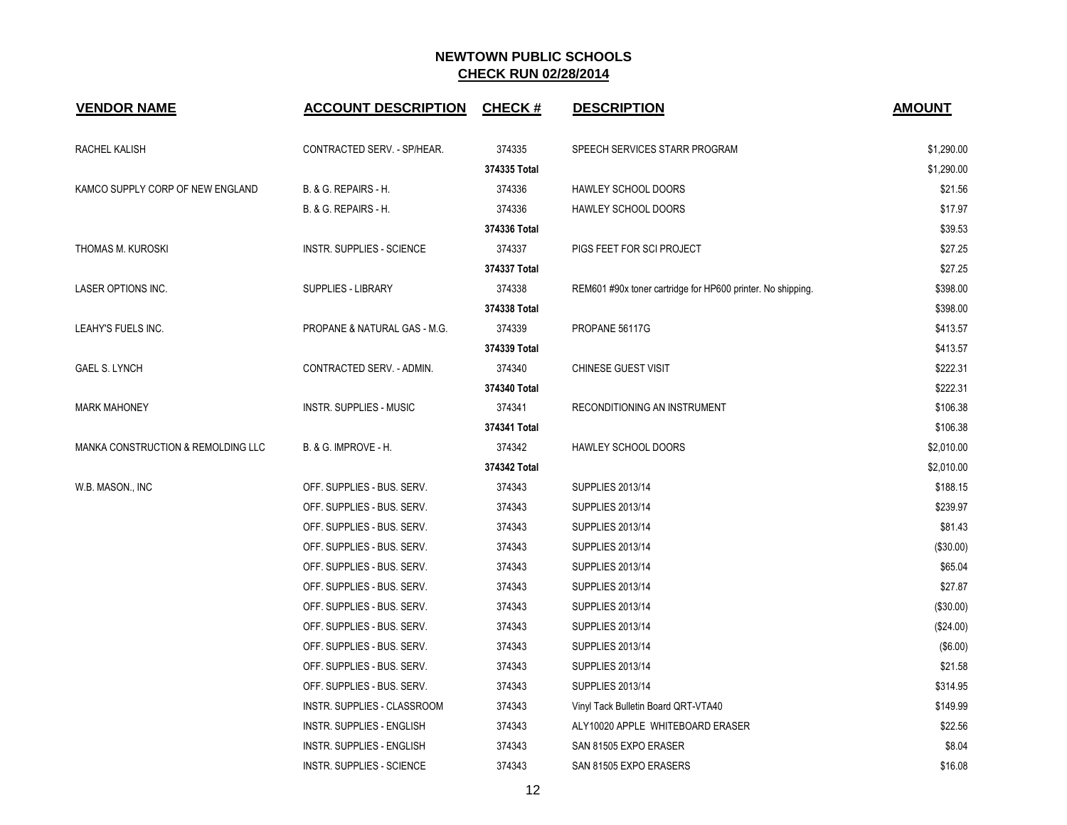| <b>VENDOR NAME</b>                 | <b>ACCOUNT DESCRIPTION</b>       | <b>CHECK#</b> | <b>DESCRIPTION</b>                                          | <b>AMOUNT</b> |
|------------------------------------|----------------------------------|---------------|-------------------------------------------------------------|---------------|
| RACHEL KALISH                      | CONTRACTED SERV. - SP/HEAR.      | 374335        | SPEECH SERVICES STARR PROGRAM                               | \$1,290.00    |
|                                    |                                  | 374335 Total  |                                                             | \$1,290.00    |
| KAMCO SUPPLY CORP OF NEW ENGLAND   | B. & G. REPAIRS - H.             | 374336        | HAWLEY SCHOOL DOORS                                         | \$21.56       |
|                                    | B. & G. REPAIRS - H.             | 374336        | HAWLEY SCHOOL DOORS                                         | \$17.97       |
|                                    |                                  | 374336 Total  |                                                             | \$39.53       |
| THOMAS M. KUROSKI                  | INSTR. SUPPLIES - SCIENCE        | 374337        | PIGS FEET FOR SCI PROJECT                                   | \$27.25       |
|                                    |                                  | 374337 Total  |                                                             | \$27.25       |
| LASER OPTIONS INC.                 | <b>SUPPLIES - LIBRARY</b>        | 374338        | REM601 #90x toner cartridge for HP600 printer. No shipping. | \$398.00      |
|                                    |                                  | 374338 Total  |                                                             | \$398.00      |
| LEAHY'S FUELS INC.                 | PROPANE & NATURAL GAS - M.G.     | 374339        | PROPANE 56117G                                              | \$413.57      |
|                                    |                                  | 374339 Total  |                                                             | \$413.57      |
| <b>GAEL S. LYNCH</b>               | CONTRACTED SERV. - ADMIN.        | 374340        | <b>CHINESE GUEST VISIT</b>                                  | \$222.31      |
|                                    |                                  | 374340 Total  |                                                             | \$222.31      |
| <b>MARK MAHONEY</b>                | INSTR. SUPPLIES - MUSIC          | 374341        | RECONDITIONING AN INSTRUMENT                                | \$106.38      |
|                                    |                                  | 374341 Total  |                                                             | \$106.38      |
| MANKA CONSTRUCTION & REMOLDING LLC | B. & G. IMPROVE - H.             | 374342        | HAWLEY SCHOOL DOORS                                         | \$2,010.00    |
|                                    |                                  | 374342 Total  |                                                             | \$2,010.00    |
| W.B. MASON., INC                   | OFF. SUPPLIES - BUS. SERV.       | 374343        | SUPPLIES 2013/14                                            | \$188.15      |
|                                    | OFF. SUPPLIES - BUS. SERV.       | 374343        | SUPPLIES 2013/14                                            | \$239.97      |
|                                    | OFF. SUPPLIES - BUS. SERV.       | 374343        | SUPPLIES 2013/14                                            | \$81.43       |
|                                    | OFF. SUPPLIES - BUS. SERV.       | 374343        | SUPPLIES 2013/14                                            | (\$30.00)     |
|                                    | OFF. SUPPLIES - BUS. SERV.       | 374343        | <b>SUPPLIES 2013/14</b>                                     | \$65.04       |
|                                    | OFF. SUPPLIES - BUS. SERV.       | 374343        | SUPPLIES 2013/14                                            | \$27.87       |
|                                    | OFF. SUPPLIES - BUS. SERV.       | 374343        | SUPPLIES 2013/14                                            | (\$30.00)     |
|                                    | OFF. SUPPLIES - BUS. SERV.       | 374343        | SUPPLIES 2013/14                                            | (\$24.00)     |
|                                    | OFF. SUPPLIES - BUS. SERV.       | 374343        | <b>SUPPLIES 2013/14</b>                                     | (\$6.00)      |
|                                    | OFF. SUPPLIES - BUS. SERV.       | 374343        | <b>SUPPLIES 2013/14</b>                                     | \$21.58       |
|                                    | OFF. SUPPLIES - BUS. SERV.       | 374343        | SUPPLIES 2013/14                                            | \$314.95      |
|                                    | INSTR. SUPPLIES - CLASSROOM      | 374343        | Vinyl Tack Bulletin Board QRT-VTA40                         | \$149.99      |
|                                    | <b>INSTR. SUPPLIES - ENGLISH</b> | 374343        | ALY10020 APPLE WHITEBOARD ERASER                            | \$22.56       |
|                                    | <b>INSTR. SUPPLIES - ENGLISH</b> | 374343        | SAN 81505 EXPO ERASER                                       | \$8.04        |
|                                    | <b>INSTR. SUPPLIES - SCIENCE</b> | 374343        | SAN 81505 EXPO ERASERS                                      | \$16.08       |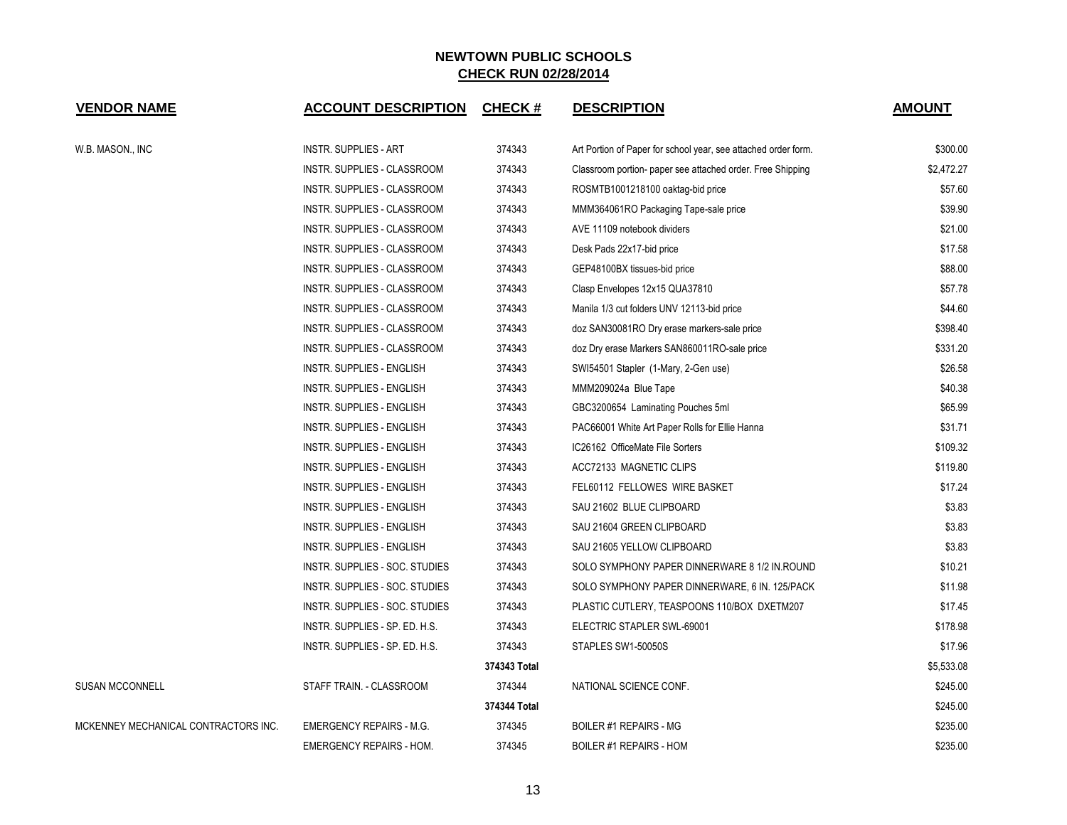| <b>VENDOR NAME</b>                   | <b>ACCOUNT DESCRIPTION</b>       | <b>CHECK#</b> | <b>DESCRIPTION</b>                                             | <b>AMOUNT</b> |
|--------------------------------------|----------------------------------|---------------|----------------------------------------------------------------|---------------|
| W.B. MASON., INC                     | <b>INSTR. SUPPLIES - ART</b>     | 374343        | Art Portion of Paper for school year, see attached order form. | \$300.00      |
|                                      | INSTR. SUPPLIES - CLASSROOM      | 374343        | Classroom portion- paper see attached order. Free Shipping     | \$2,472.27    |
|                                      | INSTR. SUPPLIES - CLASSROOM      | 374343        | ROSMTB1001218100 oaktag-bid price                              | \$57.60       |
|                                      | INSTR. SUPPLIES - CLASSROOM      | 374343        | MMM364061RO Packaging Tape-sale price                          | \$39.90       |
|                                      | INSTR. SUPPLIES - CLASSROOM      | 374343        | AVE 11109 notebook dividers                                    | \$21.00       |
|                                      | INSTR. SUPPLIES - CLASSROOM      | 374343        | Desk Pads 22x17-bid price                                      | \$17.58       |
|                                      | INSTR. SUPPLIES - CLASSROOM      | 374343        | GEP48100BX tissues-bid price                                   | \$88.00       |
|                                      | INSTR. SUPPLIES - CLASSROOM      | 374343        | Clasp Envelopes 12x15 QUA37810                                 | \$57.78       |
|                                      | INSTR. SUPPLIES - CLASSROOM      | 374343        | Manila 1/3 cut folders UNV 12113-bid price                     | \$44.60       |
|                                      | INSTR. SUPPLIES - CLASSROOM      | 374343        | doz SAN30081RO Dry erase markers-sale price                    | \$398.40      |
|                                      | INSTR. SUPPLIES - CLASSROOM      | 374343        | doz Dry erase Markers SAN860011RO-sale price                   | \$331.20      |
|                                      | INSTR. SUPPLIES - ENGLISH        | 374343        | SWI54501 Stapler (1-Mary, 2-Gen use)                           | \$26.58       |
|                                      | INSTR. SUPPLIES - ENGLISH        | 374343        | MMM209024a Blue Tape                                           | \$40.38       |
|                                      | INSTR. SUPPLIES - ENGLISH        | 374343        | GBC3200654 Laminating Pouches 5ml                              | \$65.99       |
|                                      | <b>INSTR. SUPPLIES - ENGLISH</b> | 374343        | PAC66001 White Art Paper Rolls for Ellie Hanna                 | \$31.71       |
|                                      | INSTR. SUPPLIES - ENGLISH        | 374343        | IC26162 OfficeMate File Sorters                                | \$109.32      |
|                                      | INSTR. SUPPLIES - ENGLISH        | 374343        | ACC72133 MAGNETIC CLIPS                                        | \$119.80      |
|                                      | INSTR. SUPPLIES - ENGLISH        | 374343        | FEL60112 FELLOWES WIRE BASKET                                  | \$17.24       |
|                                      | INSTR. SUPPLIES - ENGLISH        | 374343        | SAU 21602 BLUE CLIPBOARD                                       | \$3.83        |
|                                      | INSTR. SUPPLIES - ENGLISH        | 374343        | SAU 21604 GREEN CLIPBOARD                                      | \$3.83        |
|                                      | INSTR. SUPPLIES - ENGLISH        | 374343        | SAU 21605 YELLOW CLIPBOARD                                     | \$3.83        |
|                                      | INSTR. SUPPLIES - SOC. STUDIES   | 374343        | SOLO SYMPHONY PAPER DINNERWARE 8 1/2 IN ROUND                  | \$10.21       |
|                                      | INSTR. SUPPLIES - SOC. STUDIES   | 374343        | SOLO SYMPHONY PAPER DINNERWARE, 6 IN. 125/PACK                 | \$11.98       |
|                                      | INSTR. SUPPLIES - SOC. STUDIES   | 374343        | PLASTIC CUTLERY, TEASPOONS 110/BOX DXETM207                    | \$17.45       |
|                                      | INSTR. SUPPLIES - SP. ED. H.S.   | 374343        | ELECTRIC STAPLER SWL-69001                                     | \$178.98      |
|                                      | INSTR. SUPPLIES - SP. ED. H.S.   | 374343        | STAPLES SW1-50050S                                             | \$17.96       |
|                                      |                                  | 374343 Total  |                                                                | \$5,533.08    |
| <b>SUSAN MCCONNELL</b>               | STAFF TRAIN. - CLASSROOM         | 374344        | NATIONAL SCIENCE CONF.                                         | \$245.00      |
|                                      |                                  | 374344 Total  |                                                                | \$245.00      |
| MCKENNEY MECHANICAL CONTRACTORS INC. | <b>EMERGENCY REPAIRS - M.G.</b>  | 374345        | BOILER #1 REPAIRS - MG                                         | \$235.00      |
|                                      | <b>EMERGENCY REPAIRS - HOM.</b>  | 374345        | <b>BOILER #1 REPAIRS - HOM</b>                                 | \$235.00      |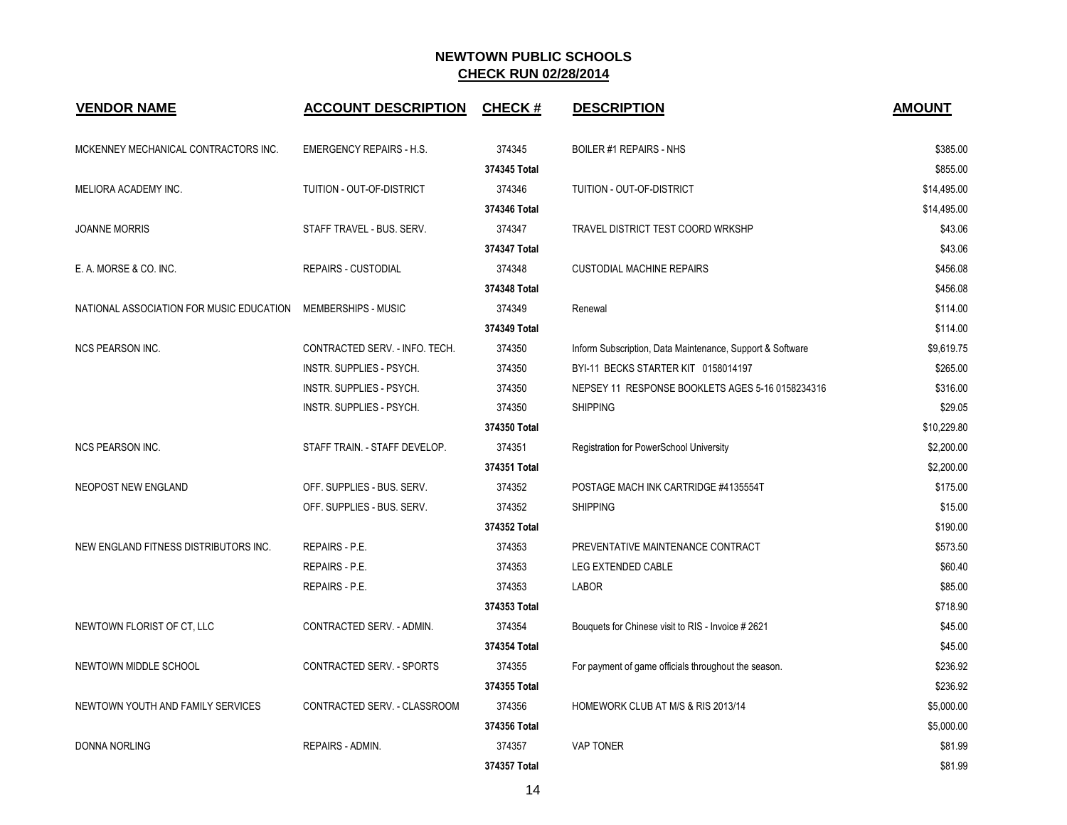| <b>VENDOR NAME</b>                                           | <b>ACCOUNT DESCRIPTION</b>      | <b>CHECK#</b> | <b>DESCRIPTION</b>                                        | <b>AMOUNT</b> |
|--------------------------------------------------------------|---------------------------------|---------------|-----------------------------------------------------------|---------------|
| MCKENNEY MECHANICAL CONTRACTORS INC.                         | <b>EMERGENCY REPAIRS - H.S.</b> | 374345        | <b>BOILER #1 REPAIRS - NHS</b>                            | \$385.00      |
|                                                              |                                 | 374345 Total  |                                                           | \$855.00      |
| MELIORA ACADEMY INC.                                         | TUITION - OUT-OF-DISTRICT       | 374346        | TUITION - OUT-OF-DISTRICT                                 | \$14,495.00   |
|                                                              |                                 | 374346 Total  |                                                           | \$14,495.00   |
| <b>JOANNE MORRIS</b>                                         | STAFF TRAVEL - BUS. SERV.       | 374347        | TRAVEL DISTRICT TEST COORD WRKSHP                         | \$43.06       |
|                                                              |                                 | 374347 Total  |                                                           | \$43.06       |
| E. A. MORSE & CO. INC.                                       | REPAIRS - CUSTODIAL             | 374348        | <b>CUSTODIAL MACHINE REPAIRS</b>                          | \$456.08      |
|                                                              |                                 | 374348 Total  |                                                           | \$456.08      |
| NATIONAL ASSOCIATION FOR MUSIC EDUCATION MEMBERSHIPS - MUSIC |                                 | 374349        | Renewal                                                   | \$114.00      |
|                                                              |                                 | 374349 Total  |                                                           | \$114.00      |
| <b>NCS PEARSON INC.</b>                                      | CONTRACTED SERV. - INFO. TECH.  | 374350        | Inform Subscription, Data Maintenance, Support & Software | \$9,619.75    |
|                                                              | INSTR. SUPPLIES - PSYCH.        | 374350        | BYI-11 BECKS STARTER KIT 0158014197                       | \$265.00      |
|                                                              | INSTR. SUPPLIES - PSYCH.        | 374350        | NEPSEY 11 RESPONSE BOOKLETS AGES 5-16 0158234316          | \$316.00      |
|                                                              | INSTR. SUPPLIES - PSYCH.        | 374350        | <b>SHIPPING</b>                                           | \$29.05       |
|                                                              |                                 | 374350 Total  |                                                           | \$10,229.80   |
| <b>NCS PEARSON INC.</b>                                      | STAFF TRAIN. - STAFF DEVELOP.   | 374351        | Registration for PowerSchool University                   | \$2,200.00    |
|                                                              |                                 | 374351 Total  |                                                           | \$2,200.00    |
| NEOPOST NEW ENGLAND                                          | OFF. SUPPLIES - BUS. SERV.      | 374352        | POSTAGE MACH INK CARTRIDGE #4135554T                      | \$175.00      |
|                                                              | OFF. SUPPLIES - BUS. SERV.      | 374352        | <b>SHIPPING</b>                                           | \$15.00       |
|                                                              |                                 | 374352 Total  |                                                           | \$190.00      |
| NEW ENGLAND FITNESS DISTRIBUTORS INC.                        | REPAIRS - P.E.                  | 374353        | PREVENTATIVE MAINTENANCE CONTRACT                         | \$573.50      |
|                                                              | REPAIRS - P.E.                  | 374353        | LEG EXTENDED CABLE                                        | \$60.40       |
|                                                              | REPAIRS - P.E.                  | 374353        | <b>LABOR</b>                                              | \$85.00       |
|                                                              |                                 | 374353 Total  |                                                           | \$718.90      |
| NEWTOWN FLORIST OF CT, LLC                                   | CONTRACTED SERV. - ADMIN.       | 374354        | Bouquets for Chinese visit to RIS - Invoice # 2621        | \$45.00       |
|                                                              |                                 | 374354 Total  |                                                           | \$45.00       |
| NEWTOWN MIDDLE SCHOOL                                        | CONTRACTED SERV. - SPORTS       | 374355        | For payment of game officials throughout the season.      | \$236.92      |
|                                                              |                                 | 374355 Total  |                                                           | \$236.92      |
| NEWTOWN YOUTH AND FAMILY SERVICES                            | CONTRACTED SERV. - CLASSROOM    | 374356        | HOMEWORK CLUB AT M/S & RIS 2013/14                        | \$5,000.00    |
|                                                              |                                 | 374356 Total  |                                                           | \$5,000.00    |
| <b>DONNA NORLING</b>                                         | REPAIRS - ADMIN.                | 374357        | <b>VAP TONER</b>                                          | \$81.99       |
|                                                              |                                 | 374357 Total  |                                                           | \$81.99       |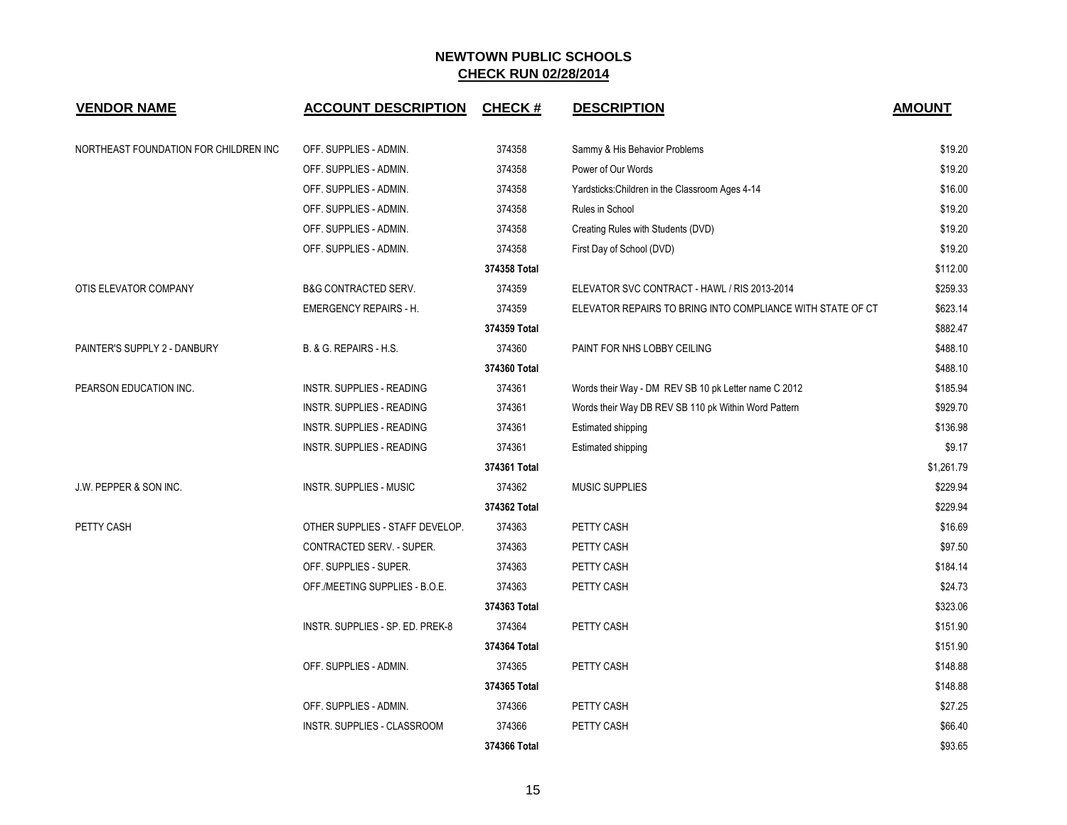| <b>VENDOR NAME</b>                    | <b>ACCOUNT DESCRIPTION</b>       | <b>CHECK#</b> | <b>DESCRIPTION</b>                                         | <b>AMOUNT</b> |
|---------------------------------------|----------------------------------|---------------|------------------------------------------------------------|---------------|
| NORTHEAST FOUNDATION FOR CHILDREN INC | OFF. SUPPLIES - ADMIN.           | 374358        | Sammy & His Behavior Problems                              | \$19.20       |
|                                       | OFF. SUPPLIES - ADMIN.           | 374358        | Power of Our Words                                         | \$19.20       |
|                                       | OFF. SUPPLIES - ADMIN.           | 374358        | Yardsticks: Children in the Classroom Ages 4-14            | \$16.00       |
|                                       | OFF. SUPPLIES - ADMIN.           | 374358        | Rules in School                                            | \$19.20       |
|                                       | OFF. SUPPLIES - ADMIN.           | 374358        | Creating Rules with Students (DVD)                         | \$19.20       |
|                                       | OFF. SUPPLIES - ADMIN.           | 374358        | First Day of School (DVD)                                  | \$19.20       |
|                                       |                                  | 374358 Total  |                                                            | \$112.00      |
| OTIS ELEVATOR COMPANY                 | <b>B&amp;G CONTRACTED SERV.</b>  | 374359        | ELEVATOR SVC CONTRACT - HAWL / RIS 2013-2014               | \$259.33      |
|                                       | <b>EMERGENCY REPAIRS - H.</b>    | 374359        | ELEVATOR REPAIRS TO BRING INTO COMPLIANCE WITH STATE OF CT | \$623.14      |
|                                       |                                  | 374359 Total  |                                                            | \$882.47      |
| PAINTER'S SUPPLY 2 - DANBURY          | B. & G. REPAIRS - H.S.           | 374360        | PAINT FOR NHS LOBBY CEILING                                | \$488.10      |
|                                       |                                  | 374360 Total  |                                                            | \$488.10      |
| PEARSON EDUCATION INC.                | <b>INSTR. SUPPLIES - READING</b> | 374361        | Words their Way - DM REV SB 10 pk Letter name C 2012       | \$185.94      |
|                                       | <b>INSTR. SUPPLIES - READING</b> | 374361        | Words their Way DB REV SB 110 pk Within Word Pattern       | \$929.70      |
|                                       | <b>INSTR. SUPPLIES - READING</b> | 374361        | Estimated shipping                                         | \$136.98      |
|                                       | <b>INSTR. SUPPLIES - READING</b> | 374361        | <b>Estimated shipping</b>                                  | \$9.17        |
|                                       |                                  | 374361 Total  |                                                            | \$1,261.79    |
| <b>J.W. PEPPER &amp; SON INC.</b>     | <b>INSTR. SUPPLIES - MUSIC</b>   | 374362        | <b>MUSIC SUPPLIES</b>                                      | \$229.94      |
|                                       |                                  | 374362 Total  |                                                            | \$229.94      |
| PETTY CASH                            | OTHER SUPPLIES - STAFF DEVELOP.  | 374363        | PETTY CASH                                                 | \$16.69       |
|                                       | CONTRACTED SERV. - SUPER.        | 374363        | PETTY CASH                                                 | \$97.50       |
|                                       | OFF. SUPPLIES - SUPER.           | 374363        | PETTY CASH                                                 | \$184.14      |
|                                       | OFF./MEETING SUPPLIES - B.O.E.   | 374363        | PETTY CASH                                                 | \$24.73       |
|                                       |                                  | 374363 Total  |                                                            | \$323.06      |
|                                       | INSTR. SUPPLIES - SP. ED. PREK-8 | 374364        | PETTY CASH                                                 | \$151.90      |
|                                       |                                  | 374364 Total  |                                                            | \$151.90      |
|                                       | OFF. SUPPLIES - ADMIN.           | 374365        | PETTY CASH                                                 | \$148.88      |
|                                       |                                  | 374365 Total  |                                                            | \$148.88      |
|                                       | OFF. SUPPLIES - ADMIN.           | 374366        | PETTY CASH                                                 | \$27.25       |
|                                       | INSTR. SUPPLIES - CLASSROOM      | 374366        | PETTY CASH                                                 | \$66.40       |
|                                       |                                  | 374366 Total  |                                                            | \$93.65       |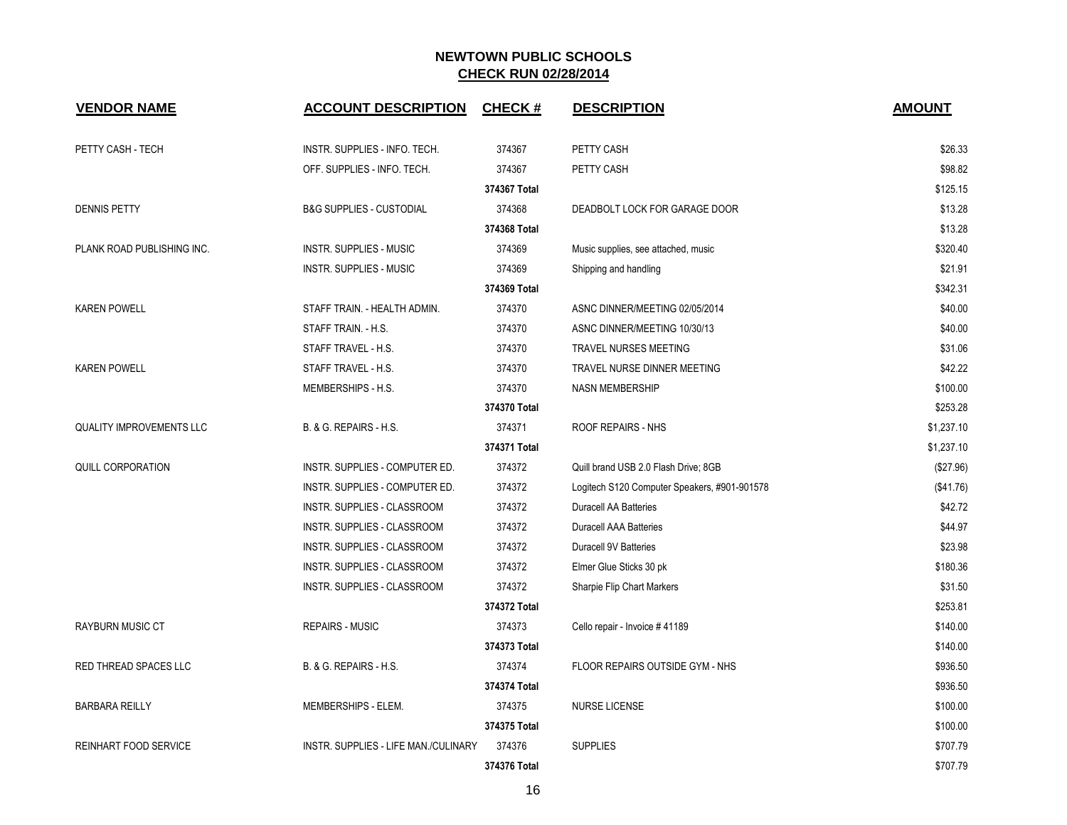| <b>VENDOR NAME</b>              | <b>ACCOUNT DESCRIPTION</b>           | <b>CHECK#</b> | <b>DESCRIPTION</b>                           | <b>AMOUNT</b> |
|---------------------------------|--------------------------------------|---------------|----------------------------------------------|---------------|
| PETTY CASH - TECH               | INSTR. SUPPLIES - INFO. TECH.        | 374367        | PETTY CASH                                   | \$26.33       |
|                                 | OFF. SUPPLIES - INFO. TECH.          | 374367        | PETTY CASH                                   | \$98.82       |
|                                 |                                      | 374367 Total  |                                              | \$125.15      |
| <b>DENNIS PETTY</b>             | <b>B&amp;G SUPPLIES - CUSTODIAL</b>  | 374368        | DEADBOLT LOCK FOR GARAGE DOOR                | \$13.28       |
|                                 |                                      | 374368 Total  |                                              | \$13.28       |
| PLANK ROAD PUBLISHING INC.      | <b>INSTR. SUPPLIES - MUSIC</b>       | 374369        | Music supplies, see attached, music          | \$320.40      |
|                                 | <b>INSTR. SUPPLIES - MUSIC</b>       | 374369        | Shipping and handling                        | \$21.91       |
|                                 |                                      | 374369 Total  |                                              | \$342.31      |
| <b>KAREN POWELL</b>             | STAFF TRAIN. - HEALTH ADMIN.         | 374370        | ASNC DINNER/MEETING 02/05/2014               | \$40.00       |
|                                 | STAFF TRAIN. - H.S.                  | 374370        | ASNC DINNER/MEETING 10/30/13                 | \$40.00       |
|                                 | STAFF TRAVEL - H.S.                  | 374370        | <b>TRAVEL NURSES MEETING</b>                 | \$31.06       |
| <b>KAREN POWELL</b>             | STAFF TRAVEL - H.S.                  | 374370        | TRAVEL NURSE DINNER MEETING                  | \$42.22       |
|                                 | MEMBERSHIPS - H.S.                   | 374370        | <b>NASN MEMBERSHIP</b>                       | \$100.00      |
|                                 |                                      | 374370 Total  |                                              | \$253.28      |
| <b>QUALITY IMPROVEMENTS LLC</b> | B. & G. REPAIRS - H.S.               | 374371        | ROOF REPAIRS - NHS                           | \$1,237.10    |
|                                 |                                      | 374371 Total  |                                              | \$1,237.10    |
| <b>QUILL CORPORATION</b>        | INSTR. SUPPLIES - COMPUTER ED.       | 374372        | Quill brand USB 2.0 Flash Drive; 8GB         | (\$27.96)     |
|                                 | INSTR. SUPPLIES - COMPUTER ED.       | 374372        | Logitech S120 Computer Speakers, #901-901578 | (\$41.76)     |
|                                 | INSTR. SUPPLIES - CLASSROOM          | 374372        | <b>Duracell AA Batteries</b>                 | \$42.72       |
|                                 | INSTR. SUPPLIES - CLASSROOM          | 374372        | <b>Duracell AAA Batteries</b>                | \$44.97       |
|                                 | INSTR. SUPPLIES - CLASSROOM          | 374372        | Duracell 9V Batteries                        | \$23.98       |
|                                 | <b>INSTR. SUPPLIES - CLASSROOM</b>   | 374372        | Elmer Glue Sticks 30 pk                      | \$180.36      |
|                                 | INSTR. SUPPLIES - CLASSROOM          | 374372        | Sharpie Flip Chart Markers                   | \$31.50       |
|                                 |                                      | 374372 Total  |                                              | \$253.81      |
| RAYBURN MUSIC CT                | <b>REPAIRS - MUSIC</b>               | 374373        | Cello repair - Invoice # 41189               | \$140.00      |
|                                 |                                      | 374373 Total  |                                              | \$140.00      |
| RED THREAD SPACES LLC           | B. & G. REPAIRS - H.S.               | 374374        | FLOOR REPAIRS OUTSIDE GYM - NHS              | \$936.50      |
|                                 |                                      | 374374 Total  |                                              | \$936.50      |
| <b>BARBARA REILLY</b>           | MEMBERSHIPS - ELEM.                  | 374375        | <b>NURSE LICENSE</b>                         | \$100.00      |
|                                 |                                      | 374375 Total  |                                              | \$100.00      |
| REINHART FOOD SERVICE           | INSTR. SUPPLIES - LIFE MAN./CULINARY | 374376        | <b>SUPPLIES</b>                              | \$707.79      |
|                                 |                                      | 374376 Total  |                                              | \$707.79      |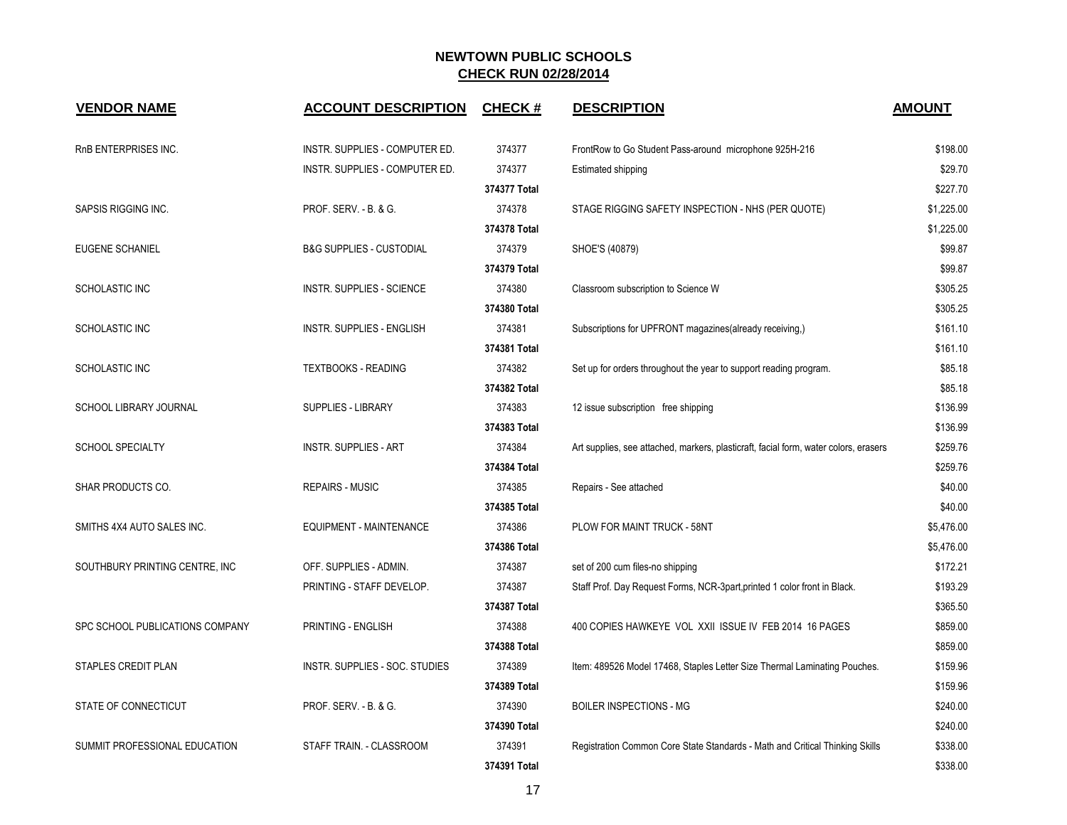| <b>VENDOR NAME</b>              | <b>ACCOUNT DESCRIPTION</b>            | <b>CHECK#</b> | <b>DESCRIPTION</b>                                                                   | <b>AMOUNT</b> |
|---------------------------------|---------------------------------------|---------------|--------------------------------------------------------------------------------------|---------------|
| RnB ENTERPRISES INC.            | INSTR. SUPPLIES - COMPUTER ED.        | 374377        | FrontRow to Go Student Pass-around microphone 925H-216                               | \$198.00      |
|                                 | INSTR. SUPPLIES - COMPUTER ED.        | 374377        | Estimated shipping                                                                   | \$29.70       |
|                                 |                                       | 374377 Total  |                                                                                      | \$227.70      |
| SAPSIS RIGGING INC.             | <b>PROF. SERV. - B. &amp; G.</b>      | 374378        | STAGE RIGGING SAFETY INSPECTION - NHS (PER QUOTE)                                    | \$1,225.00    |
|                                 |                                       | 374378 Total  |                                                                                      | \$1,225.00    |
| <b>EUGENE SCHANIEL</b>          | <b>B&amp;G SUPPLIES - CUSTODIAL</b>   | 374379        | SHOE'S (40879)                                                                       | \$99.87       |
|                                 |                                       | 374379 Total  |                                                                                      | \$99.87       |
| SCHOLASTIC INC                  | <b>INSTR. SUPPLIES - SCIENCE</b>      | 374380        | Classroom subscription to Science W                                                  | \$305.25      |
|                                 |                                       | 374380 Total  |                                                                                      | \$305.25      |
| SCHOLASTIC INC                  | <b>INSTR. SUPPLIES - ENGLISH</b>      | 374381        | Subscriptions for UPFRONT magazines(already receiving,)                              | \$161.10      |
|                                 |                                       | 374381 Total  |                                                                                      | \$161.10      |
| SCHOLASTIC INC                  | <b>TEXTBOOKS - READING</b>            | 374382        | Set up for orders throughout the year to support reading program.                    | \$85.18       |
|                                 |                                       | 374382 Total  |                                                                                      | \$85.18       |
| SCHOOL LIBRARY JOURNAL          | <b>SUPPLIES - LIBRARY</b>             | 374383        | 12 issue subscription free shipping                                                  | \$136.99      |
|                                 |                                       | 374383 Total  |                                                                                      | \$136.99      |
| SCHOOL SPECIALTY                | <b>INSTR. SUPPLIES - ART</b>          | 374384        | Art supplies, see attached, markers, plasticraft, facial form, water colors, erasers | \$259.76      |
|                                 |                                       | 374384 Total  |                                                                                      | \$259.76      |
| SHAR PRODUCTS CO.               | <b>REPAIRS - MUSIC</b>                | 374385        | Repairs - See attached                                                               | \$40.00       |
|                                 |                                       | 374385 Total  |                                                                                      | \$40.00       |
| SMITHS 4X4 AUTO SALES INC.      | EQUIPMENT - MAINTENANCE               | 374386        | PLOW FOR MAINT TRUCK - 58NT                                                          | \$5,476.00    |
|                                 |                                       | 374386 Total  |                                                                                      | \$5,476.00    |
| SOUTHBURY PRINTING CENTRE, INC  | OFF. SUPPLIES - ADMIN.                | 374387        | set of 200 cum files-no shipping                                                     | \$172.21      |
|                                 | PRINTING - STAFF DEVELOP.             | 374387        | Staff Prof. Day Request Forms, NCR-3part, printed 1 color front in Black.            | \$193.29      |
|                                 |                                       | 374387 Total  |                                                                                      | \$365.50      |
| SPC SCHOOL PUBLICATIONS COMPANY | PRINTING - ENGLISH                    | 374388        | 400 COPIES HAWKEYE VOL XXII ISSUE IV FEB 2014 16 PAGES                               | \$859.00      |
|                                 |                                       | 374388 Total  |                                                                                      | \$859.00      |
| STAPLES CREDIT PLAN             | <b>INSTR. SUPPLIES - SOC. STUDIES</b> | 374389        | Item: 489526 Model 17468, Staples Letter Size Thermal Laminating Pouches.            | \$159.96      |
|                                 |                                       | 374389 Total  |                                                                                      | \$159.96      |
| STATE OF CONNECTICUT            | PROF. SERV. - B. & G.                 | 374390        | BOILER INSPECTIONS - MG                                                              | \$240.00      |
|                                 |                                       | 374390 Total  |                                                                                      | \$240.00      |
| SUMMIT PROFESSIONAL EDUCATION   | STAFF TRAIN. - CLASSROOM              | 374391        | Registration Common Core State Standards - Math and Critical Thinking Skills         | \$338.00      |
|                                 |                                       | 374391 Total  |                                                                                      | \$338.00      |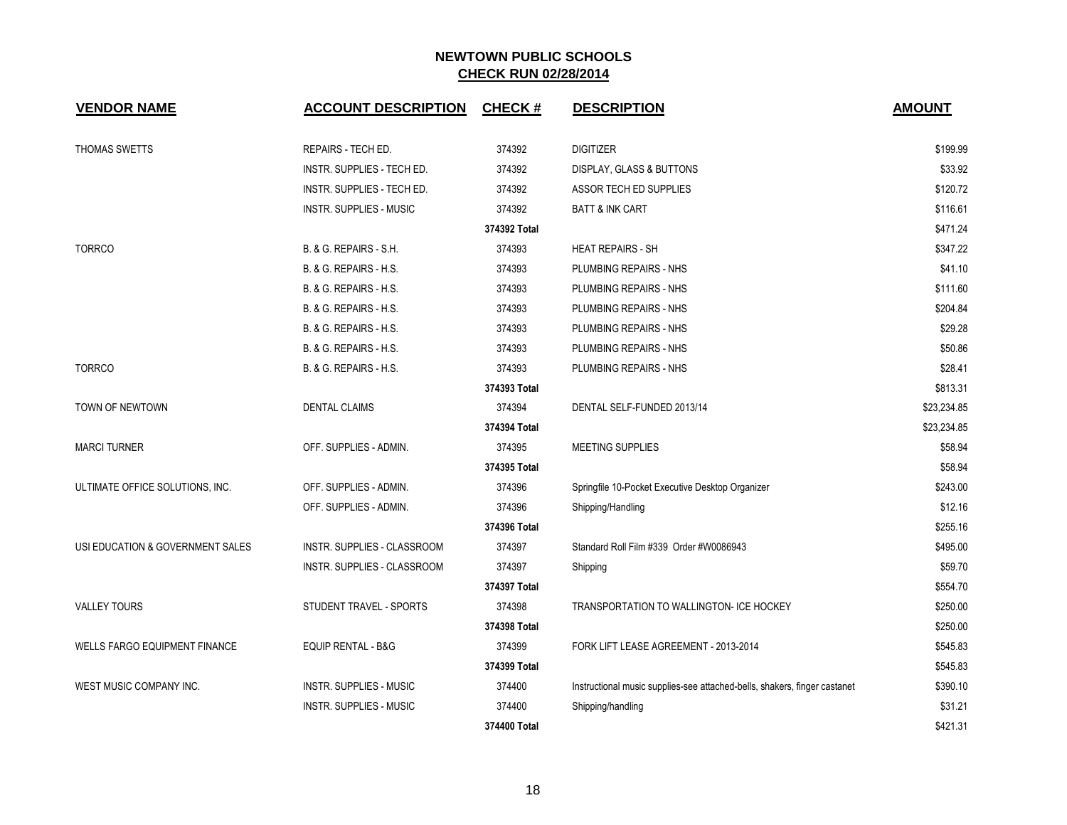| <b>VENDOR NAME</b>                   | <b>ACCOUNT DESCRIPTION</b>         | CHECK #      | <b>DESCRIPTION</b>                                                        | <b>AMOUNT</b> |
|--------------------------------------|------------------------------------|--------------|---------------------------------------------------------------------------|---------------|
| <b>THOMAS SWETTS</b>                 | REPAIRS - TECH ED.                 | 374392       | <b>DIGITIZER</b>                                                          | \$199.99      |
|                                      | INSTR. SUPPLIES - TECH ED.         | 374392       | DISPLAY, GLASS & BUTTONS                                                  | \$33.92       |
|                                      | INSTR. SUPPLIES - TECH ED.         | 374392       | ASSOR TECH ED SUPPLIES                                                    | \$120.72      |
|                                      | <b>INSTR. SUPPLIES - MUSIC</b>     | 374392       | <b>BATT &amp; INK CART</b>                                                | \$116.61      |
|                                      |                                    | 374392 Total |                                                                           | \$471.24      |
| <b>TORRCO</b>                        | B. & G. REPAIRS - S.H.             | 374393       | <b>HEAT REPAIRS - SH</b>                                                  | \$347.22      |
|                                      | B. & G. REPAIRS - H.S.             | 374393       | PLUMBING REPAIRS - NHS                                                    | \$41.10       |
|                                      | B. & G. REPAIRS - H.S.             | 374393       | PLUMBING REPAIRS - NHS                                                    | \$111.60      |
|                                      | B. & G. REPAIRS - H.S.             | 374393       | PLUMBING REPAIRS - NHS                                                    | \$204.84      |
|                                      | B. & G. REPAIRS - H.S.             | 374393       | PLUMBING REPAIRS - NHS                                                    | \$29.28       |
|                                      | B. & G. REPAIRS - H.S.             | 374393       | PLUMBING REPAIRS - NHS                                                    | \$50.86       |
| <b>TORRCO</b>                        | B. & G. REPAIRS - H.S.             | 374393       | PLUMBING REPAIRS - NHS                                                    | \$28.41       |
|                                      |                                    | 374393 Total |                                                                           | \$813.31      |
| TOWN OF NEWTOWN                      | <b>DENTAL CLAIMS</b>               | 374394       | DENTAL SELF-FUNDED 2013/14                                                | \$23,234.85   |
|                                      |                                    | 374394 Total |                                                                           | \$23,234.85   |
| <b>MARCI TURNER</b>                  | OFF. SUPPLIES - ADMIN.             | 374395       | <b>MEETING SUPPLIES</b>                                                   | \$58.94       |
|                                      |                                    | 374395 Total |                                                                           | \$58.94       |
| ULTIMATE OFFICE SOLUTIONS, INC.      | OFF. SUPPLIES - ADMIN.             | 374396       | Springfile 10-Pocket Executive Desktop Organizer                          | \$243.00      |
|                                      | OFF. SUPPLIES - ADMIN.             | 374396       | Shipping/Handling                                                         | \$12.16       |
|                                      |                                    | 374396 Total |                                                                           | \$255.16      |
| USI EDUCATION & GOVERNMENT SALES     | <b>INSTR. SUPPLIES - CLASSROOM</b> | 374397       | Standard Roll Film #339 Order #W0086943                                   | \$495.00      |
|                                      | INSTR. SUPPLIES - CLASSROOM        | 374397       | Shipping                                                                  | \$59.70       |
|                                      |                                    | 374397 Total |                                                                           | \$554.70      |
| <b>VALLEY TOURS</b>                  | STUDENT TRAVEL - SPORTS            | 374398       | TRANSPORTATION TO WALLINGTON-ICE HOCKEY                                   | \$250.00      |
|                                      |                                    | 374398 Total |                                                                           | \$250.00      |
| <b>WELLS FARGO EQUIPMENT FINANCE</b> | <b>EQUIP RENTAL - B&amp;G</b>      | 374399       | FORK LIFT LEASE AGREEMENT - 2013-2014                                     | \$545.83      |
|                                      |                                    | 374399 Total |                                                                           | \$545.83      |
| WEST MUSIC COMPANY INC.              | <b>INSTR. SUPPLIES - MUSIC</b>     | 374400       | Instructional music supplies-see attached-bells, shakers, finger castanet | \$390.10      |
|                                      | <b>INSTR. SUPPLIES - MUSIC</b>     | 374400       | Shipping/handling                                                         | \$31.21       |
|                                      |                                    | 374400 Total |                                                                           | \$421.31      |